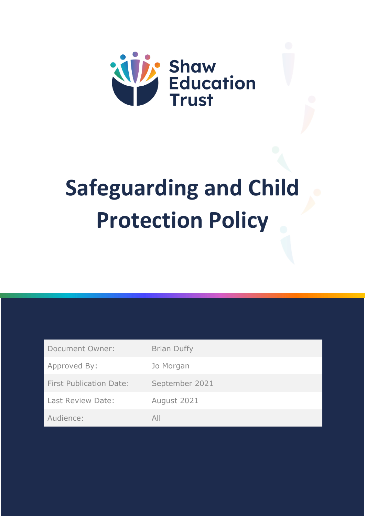

# **Safeguarding and Child Protection Policy**

| Document Owner:                | <b>Brian Duffy</b> |
|--------------------------------|--------------------|
| Approved By:                   | Jo Morgan          |
| <b>First Publication Date:</b> | September 2021     |
| Last Review Date:              | August 2021        |
| Audience:                      | All                |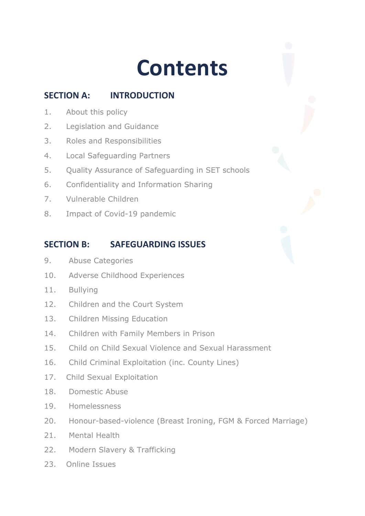## **Contents**

## **SECTION A: INTRODUCTION**

- 1. About this policy
- 2. Legislation and Guidance
- 3. Roles and Responsibilities
- 4. Local Safeguarding Partners
- 5. Quality Assurance of Safeguarding in SET schools
- 6. Confidentiality and Information Sharing
- 7. Vulnerable Children
- 8. Impact of Covid-19 pandemic

#### **SECTION B: SAFEGUARDING ISSUES**

- 9. Abuse Categories
- 10. Adverse Childhood Experiences
- 11. Bullying
- 12. Children and the Court System
- 13. Children Missing Education
- 14. Children with Family Members in Prison
- 15. Child on Child Sexual Violence and Sexual Harassment
- 16. Child Criminal Exploitation (inc. County Lines)
- 17. Child Sexual Exploitation
- 18. Domestic Abuse
- 19. Homelessness
- 20. Honour-based-violence (Breast Ironing, FGM & Forced Marriage)
- 21. Mental Health
- 22. Modern Slavery & Trafficking
- 23. Online Issues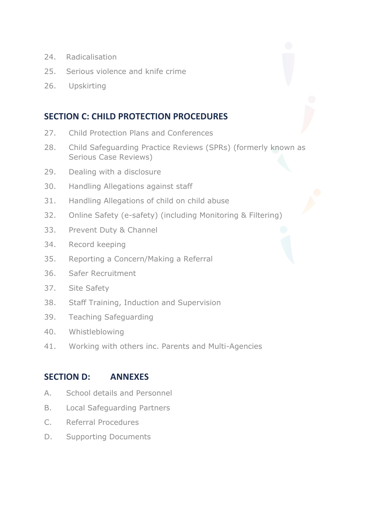- 24. Radicalisation
- 25. Serious violence and knife crime
- 26. Upskirting

#### **SECTION C: CHILD PROTECTION PROCEDURES**

- 27. Child Protection Plans and Conferences
- 28. Child Safeguarding Practice Reviews (SPRs) (formerly known as Serious Case Reviews)
- 29. Dealing with a disclosure
- 30. Handling Allegations against staff
- 31. Handling Allegations of child on child abuse
- 32. Online Safety (e-safety) (including Monitoring & Filtering)
- 33. Prevent Duty & Channel
- 34. Record keeping
- 35. Reporting a Concern/Making a Referral
- 36. Safer Recruitment
- 37. Site Safety
- 38. Staff Training, Induction and Supervision
- 39. Teaching Safeguarding
- 40. Whistleblowing
- 41. Working with others inc. Parents and Multi-Agencies

#### **SECTION D: ANNEXES**

- A. School details and Personnel
- B. Local Safeguarding Partners
- C. Referral Procedures
- D. Supporting Documents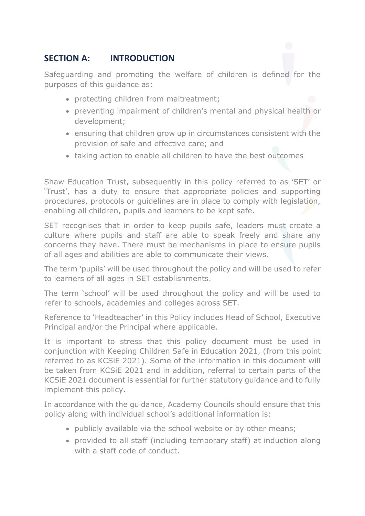## **SECTION A: INTRODUCTION**

Safeguarding and promoting the welfare of children is defined for the purposes of this guidance as:

- protecting children from maltreatment;
- preventing impairment of children's mental and physical health or development;
- ensuring that children grow up in circumstances consistent with the provision of safe and effective care; and
- taking action to enable all children to have the best outcomes

Shaw Education Trust, subsequently in this policy referred to as 'SET' or 'Trust', has a duty to ensure that appropriate policies and supporting procedures, protocols or guidelines are in place to comply with legislation, enabling all children, pupils and learners to be kept safe.

SET recognises that in order to keep pupils safe, leaders must create a culture where pupils and staff are able to speak freely and share any concerns they have. There must be mechanisms in place to ensure pupils of all ages and abilities are able to communicate their views.

The term 'pupils' will be used throughout the policy and will be used to refer to learners of all ages in SET establishments.

The term 'school' will be used throughout the policy and will be used to refer to schools, academies and colleges across SET.

Reference to 'Headteacher' in this Policy includes Head of School, Executive Principal and/or the Principal where applicable.

It is important to stress that this policy document must be used in conjunction with Keeping Children Safe in Education 2021, (from this point referred to as KCSiE 2021). Some of the information in this document will be taken from KCSiE 2021 and in addition, referral to certain parts of the KCSiE 2021 document is essential for further statutory guidance and to fully implement this policy.

In accordance with the guidance, Academy Councils should ensure that this policy along with individual school's additional information is:

- publicly available via the school website or by other means;
- provided to all staff (including temporary staff) at induction along with a staff code of conduct.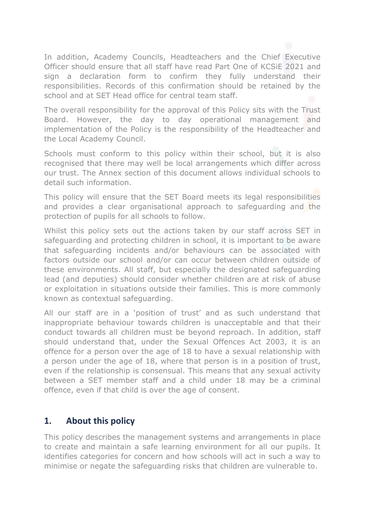In addition, Academy Councils, Headteachers and the Chief Executive Officer should ensure that all staff have read Part One of KCSiE 2021 and sign a declaration form to confirm they fully understand their responsibilities. Records of this confirmation should be retained by the school and at SET Head office for central team staff.

The overall responsibility for the approval of this Policy sits with the Trust Board. However, the day to day operational management and implementation of the Policy is the responsibility of the Headteacher and the Local Academy Council.

Schools must conform to this policy within their school, but it is also recognised that there may well be local arrangements which differ across our trust. The Annex section of this document allows individual schools to detail such information.

This policy will ensure that the SET Board meets its legal responsibilities and provides a clear organisational approach to safeguarding and the protection of pupils for all schools to follow.

Whilst this policy sets out the actions taken by our staff across SET in safeguarding and protecting children in school, it is important to be aware that safeguarding incidents and/or behaviours can be associated with factors outside our school and/or can occur between children outside of these environments. All staff, but especially the designated safeguarding lead (and deputies) should consider whether children are at risk of abuse or exploitation in situations outside their families. This is more commonly known as contextual safeguarding.

All our staff are in a 'position of trust' and as such understand that inappropriate behaviour towards children is unacceptable and that their conduct towards all children must be beyond reproach. In addition, staff should understand that, under the Sexual Offences Act 2003, it is an offence for a person over the age of 18 to have a sexual relationship with a person under the age of 18, where that person is in a position of trust, even if the relationship is consensual. This means that any sexual activity between a SET member staff and a child under 18 may be a criminal offence, even if that child is over the age of consent.

## **1. About this policy**

This policy describes the management systems and arrangements in place to create and maintain a safe learning environment for all our pupils. It identifies categories for concern and how schools will act in such a way to minimise or negate the safeguarding risks that children are vulnerable to.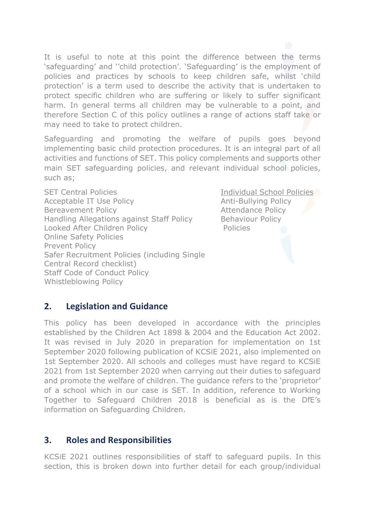It is useful to note at this point the difference between the terms 'safeguarding' and ''child protection'. 'Safeguarding' is the employment of policies and practices by schools to keep children safe, whilst 'child protection' is a term used to describe the activity that is undertaken to protect specific children who are suffering or likely to suffer significant harm. In general terms all children may be vulnerable to a point, and therefore Section C of this policy outlines a range of actions staff take or may need to take to protect children.

Safeguarding and promoting the welfare of pupils goes beyond implementing basic child protection procedures. It is an integral part of all activities and functions of SET. This policy complements and supports other main SET safeguarding policies, and relevant individual school policies, such as;

SET Central Policies **Individual School Policies** Acceptable IT Use Policy **Anti-Bullying Policy** Bereavement Policy **Attendance Policy Attendance Policy** Handling Allegations against Staff Policy Behaviour Policy Looked After Children Policy Policies Online Safety Policies Prevent Policy Safer Recruitment Policies (including Single Central Record checklist) Staff Code of Conduct Policy Whistleblowing Policy

## **2. Legislation and Guidance**

This policy has been developed in accordance with the principles established by the Children Act 1898 & 2004 and the Education Act 2002. It was revised in July 2020 in preparation for implementation on 1st September 2020 following publication of KCSiE 2021, also implemented on 1st September 2020. All schools and colleges must have regard to KCSiE 2021 from 1st September 2020 when carrying out their duties to safeguard and promote the welfare of children. The guidance refers to the 'proprietor' of a school which in our case is SET. In addition, reference to Working Together to Safeguard Children 2018 is beneficial as is the DfE's information on Safeguarding Children.

#### **3. Roles and Responsibilities**

KCSiE 2021 outlines responsibilities of staff to safeguard pupils. In this section, this is broken down into further detail for each group/individual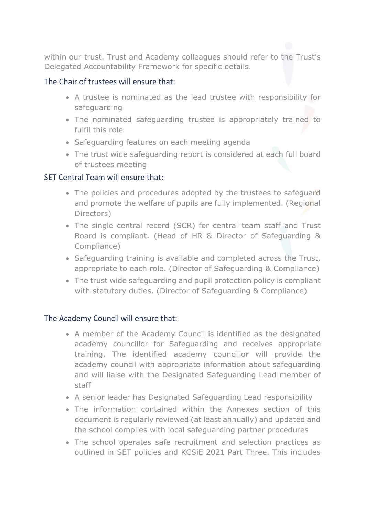within our trust. Trust and Academy colleagues should refer to the Trust's Delegated Accountability Framework for specific details.

#### The Chair of trustees will ensure that:

- A trustee is nominated as the lead trustee with responsibility for safeguarding
- The nominated safeguarding trustee is appropriately trained to fulfil this role
- Safeguarding features on each meeting agenda
- The trust wide safeguarding report is considered at each full board of trustees meeting

#### SET Central Team will ensure that:

- The policies and procedures adopted by the trustees to safeguard and promote the welfare of pupils are fully implemented. (Regional Directors)
- The single central record (SCR) for central team staff and Trust Board is compliant. (Head of HR & Director of Safeguarding & Compliance)
- Safeguarding training is available and completed across the Trust, appropriate to each role. (Director of Safeguarding & Compliance)
- The trust wide safeguarding and pupil protection policy is compliant with statutory duties. (Director of Safeguarding & Compliance)

#### The Academy Council will ensure that:

- A member of the Academy Council is identified as the designated academy councillor for Safeguarding and receives appropriate training. The identified academy councillor will provide the academy council with appropriate information about safeguarding and will liaise with the Designated Safeguarding Lead member of staff
- A senior leader has Designated Safeguarding Lead responsibility
- The information contained within the Annexes section of this document is regularly reviewed (at least annually) and updated and the school complies with local safeguarding partner procedures
- The school operates safe recruitment and selection practices as outlined in SET policies and KCSiE 2021 Part Three. This includes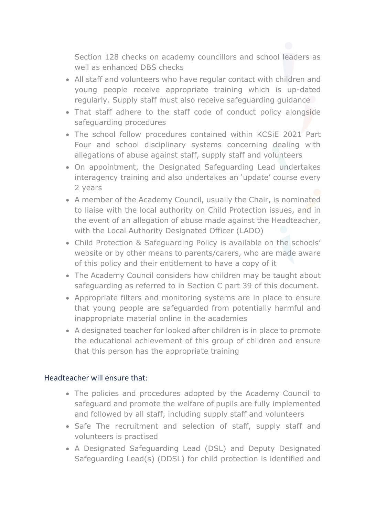Section 128 checks on academy councillors and school leaders as well as enhanced DBS checks

- All staff and volunteers who have regular contact with children and young people receive appropriate training which is up-dated regularly. Supply staff must also receive safeguarding guidance
- That staff adhere to the staff code of conduct policy alongside safeguarding procedures
- The school follow procedures contained within KCSiE 2021 Part Four and school disciplinary systems concerning dealing with allegations of abuse against staff, supply staff and volunteers
- On appointment, the Designated Safeguarding Lead undertakes interagency training and also undertakes an 'update' course every 2 years
- A member of the Academy Council, usually the Chair, is nominated to liaise with the local authority on Child Protection issues, and in the event of an allegation of abuse made against the Headteacher, with the Local Authority Designated Officer (LADO)
- Child Protection & Safeguarding Policy is available on the schools' website or by other means to parents/carers, who are made aware of this policy and their entitlement to have a copy of it
- The Academy Council considers how children may be taught about safeguarding as referred to in Section C part 39 of this document.
- Appropriate filters and monitoring systems are in place to ensure that young people are safeguarded from potentially harmful and inappropriate material online in the academies
- A designated teacher for looked after children is in place to promote the educational achievement of this group of children and ensure that this person has the appropriate training

#### Headteacher will ensure that:

- The policies and procedures adopted by the Academy Council to safeguard and promote the welfare of pupils are fully implemented and followed by all staff, including supply staff and volunteers
- Safe The recruitment and selection of staff, supply staff and volunteers is practised
- A Designated Safeguarding Lead (DSL) and Deputy Designated Safeguarding Lead(s) (DDSL) for child protection is identified and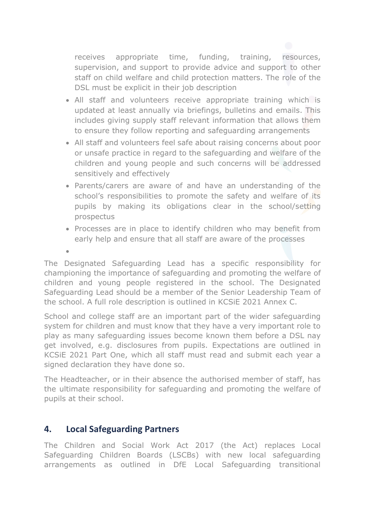receives appropriate time, funding, training, resources, supervision, and support to provide advice and support to other staff on child welfare and child protection matters. The role of the DSL must be explicit in their job description

- All staff and volunteers receive appropriate training which is updated at least annually via briefings, bulletins and emails. This includes giving supply staff relevant information that allows them to ensure they follow reporting and safeguarding arrangements
- All staff and volunteers feel safe about raising concerns about poor or unsafe practice in regard to the safeguarding and welfare of the children and young people and such concerns will be addressed sensitively and effectively
- Parents/carers are aware of and have an understanding of the school's responsibilities to promote the safety and welfare of its pupils by making its obligations clear in the school/setting prospectus
- Processes are in place to identify children who may benefit from early help and ensure that all staff are aware of the processes
- •

The Designated Safeguarding Lead has a specific responsibility for championing the importance of safeguarding and promoting the welfare of children and young people registered in the school. The Designated Safeguarding Lead should be a member of the Senior Leadership Team of the school. A full role description is outlined in KCSiE 2021 Annex C.

School and college staff are an important part of the wider safeguarding system for children and must know that they have a very important role to play as many safeguarding issues become known them before a DSL nay get involved, e.g. disclosures from pupils. Expectations are outlined in KCSiE 2021 Part One, which all staff must read and submit each year a signed declaration they have done so.

The Headteacher, or in their absence the authorised member of staff, has the ultimate responsibility for safeguarding and promoting the welfare of pupils at their school.

## **4. Local Safeguarding Partners**

The Children and Social Work Act 2017 (the Act) replaces Local Safeguarding Children Boards (LSCBs) with new local safeguarding arrangements as outlined in DfE Local Safeguarding transitional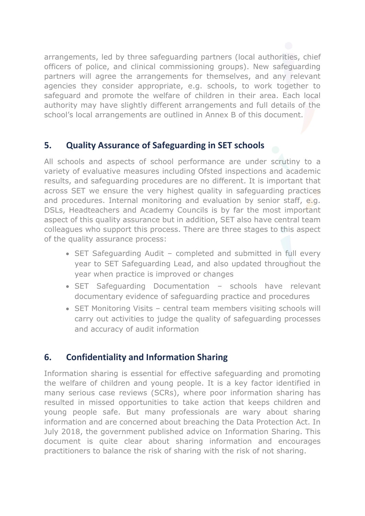arrangements, led by three safeguarding partners (local authorities, chief officers of police, and clinical commissioning groups). New safeguarding partners will agree the arrangements for themselves, and any relevant agencies they consider appropriate, e.g. schools, to work together to safeguard and promote the welfare of children in their area. Each local authority may have slightly different arrangements and full details of the school's local arrangements are outlined in Annex B of this document.

## **5. Quality Assurance of Safeguarding in SET schools**

All schools and aspects of school performance are under scrutiny to a variety of evaluative measures including Ofsted inspections and academic results, and safeguarding procedures are no different. It is important that across SET we ensure the very highest quality in safeguarding practices and procedures. Internal monitoring and evaluation by senior staff, e.g. DSLs, Headteachers and Academy Councils is by far the most important aspect of this quality assurance but in addition, SET also have central team colleagues who support this process. There are three stages to this aspect of the quality assurance process:

- SET Safeguarding Audit completed and submitted in full every year to SET Safeguarding Lead, and also updated throughout the year when practice is improved or changes
- SET Safeguarding Documentation schools have relevant documentary evidence of safeguarding practice and procedures
- SET Monitoring Visits central team members visiting schools will carry out activities to judge the quality of safeguarding processes and accuracy of audit information

## **6. Confidentiality and Information Sharing**

Information sharing is essential for effective safeguarding and promoting the welfare of children and young people. It is a key factor identified in many serious case reviews (SCRs), where poor information sharing has resulted in missed opportunities to take action that keeps children and young people safe. But many professionals are wary about sharing information and are concerned about breaching the Data Protection Act. In July 2018, the government published advice on Information Sharing. This document is quite clear about sharing information and encourages practitioners to balance the risk of sharing with the risk of not sharing.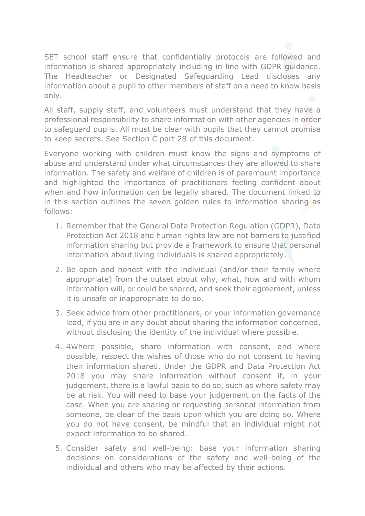SET school staff ensure that confidentially protocols are followed and information is shared appropriately including in line with GDPR guidance. The Headteacher or Designated Safeguarding Lead discloses any information about a pupil to other members of staff on a need to know basis only.

All staff, supply staff, and volunteers must understand that they have a professional responsibility to share information with other agencies in order to safeguard pupils. All must be clear with pupils that they cannot promise to keep secrets. See Section C part 28 of this document.

Everyone working with children must know the signs and symptoms of abuse and understand under what circumstances they are allowed to share information. The safety and welfare of children is of paramount importance and highlighted the importance of practitioners feeling confident about when and how information can be legally shared. The document linked to in this section outlines the seven golden rules to information sharing as follows:

- 1. Remember that the General Data Protection Regulation (GDPR), Data Protection Act 2018 and human rights law are not barriers to justified information sharing but provide a framework to ensure that personal information about living individuals is shared appropriately.
- 2. Be open and honest with the individual (and/or their family where appropriate) from the outset about why, what, how and with whom information will, or could be shared, and seek their agreement, unless it is unsafe or inappropriate to do so.
- 3. Seek advice from other practitioners, or your information governance lead, if you are in any doubt about sharing the information concerned, without disclosing the identity of the individual where possible.
- 4. 4Where possible, share information with consent, and where possible, respect the wishes of those who do not consent to having their information shared. Under the GDPR and Data Protection Act 2018 you may share information without consent if, in your judgement, there is a lawful basis to do so, such as where safety may be at risk. You will need to base your judgement on the facts of the case. When you are sharing or requesting personal information from someone, be clear of the basis upon which you are doing so. Where you do not have consent, be mindful that an individual might not expect information to be shared.
- 5. Consider safety and well-being: base your information sharing decisions on considerations of the safety and well-being of the individual and others who may be affected by their actions.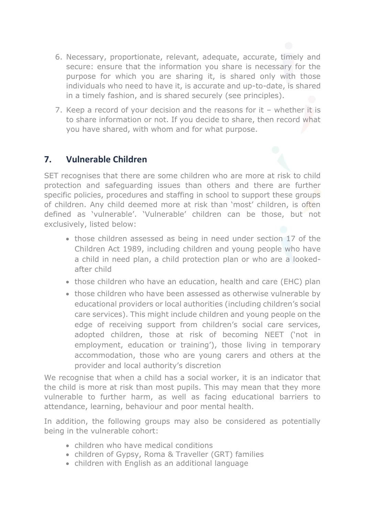- 6. Necessary, proportionate, relevant, adequate, accurate, timely and secure: ensure that the information you share is necessary for the purpose for which you are sharing it, is shared only with those individuals who need to have it, is accurate and up-to-date, is shared in a timely fashion, and is shared securely (see principles).
- 7. Keep a record of your decision and the reasons for it whether it is to share information or not. If you decide to share, then record what you have shared, with whom and for what purpose.

## **7. Vulnerable Children**

SET recognises that there are some children who are more at risk to child protection and safeguarding issues than others and there are further specific policies, procedures and staffing in school to support these groups of children. Any child deemed more at risk than 'most' children, is often defined as 'vulnerable'. 'Vulnerable' children can be those, but not exclusively, listed below:

- those children assessed as being in need under section 17 of the Children Act 1989, including children and young people who have a child in need plan, a child protection plan or who are a lookedafter child
- those children who have an education, health and care (EHC) plan
- those children who have been assessed as otherwise vulnerable by educational providers or local authorities (including children's social care services). This might include children and young people on the edge of receiving support from children's social care services, adopted children, those at risk of becoming NEET ('not in employment, education or training'), those living in temporary accommodation, those who are young carers and others at the provider and local authority's discretion

We recognise that when a child has a social worker, it is an indicator that the child is more at risk than most pupils. This may mean that they more vulnerable to further harm, as well as facing educational barriers to attendance, learning, behaviour and poor mental health.

In addition, the following groups may also be considered as potentially being in the vulnerable cohort:

- children who have medical conditions
- children of Gypsy, Roma & Traveller (GRT) families
- children with English as an additional language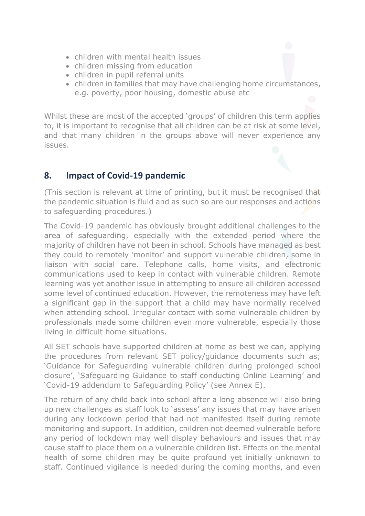- children with mental health issues
- children missing from education
- children in pupil referral units
- children in families that may have challenging home circumstances, e.g. poverty, poor housing, domestic abuse etc

Whilst these are most of the accepted 'groups' of children this term applies to, it is important to recognise that all children can be at risk at some level, and that many children in the groups above will never experience any issues.

## **8. Impact of Covid-19 pandemic**

(This section is relevant at time of printing, but it must be recognised that the pandemic situation is fluid and as such so are our responses and actions to safeguarding procedures.)

The Covid-19 pandemic has obviously brought additional challenges to the area of safeguarding, especially with the extended period where the majority of children have not been in school. Schools have managed as best they could to remotely 'monitor' and support vulnerable children, some in liaison with social care. Telephone calls, home visits, and electronic communications used to keep in contact with vulnerable children. Remote learning was yet another issue in attempting to ensure all children accessed some level of continued education. However, the remoteness may have left a significant gap in the support that a child may have normally received when attending school. Irregular contact with some vulnerable children by professionals made some children even more vulnerable, especially those living in difficult home situations.

All SET schools have supported children at home as best we can, applying the procedures from relevant SET policy/guidance documents such as; 'Guidance for Safeguarding vulnerable children during prolonged school closure', 'Safeguarding Guidance to staff conducting Online Learning' and 'Covid-19 addendum to Safeguarding Policy' (see Annex E).

The return of any child back into school after a long absence will also bring up new challenges as staff look to 'assess' any issues that may have arisen during any lockdown period that had not manifested itself during remote monitoring and support. In addition, children not deemed vulnerable before any period of lockdown may well display behaviours and issues that may cause staff to place them on a vulnerable children list. Effects on the mental health of some children may be quite profound yet initially unknown to staff. Continued vigilance is needed during the coming months, and even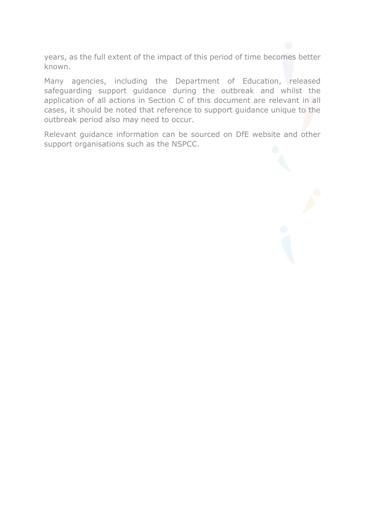years, as the full extent of the impact of this period of time becomes better known.

Many agencies, including the Department of Education, released safeguarding support guidance during the outbreak and whilst the application of all actions in Section C of this document are relevant in all cases, it should be noted that reference to support guidance unique to the outbreak period also may need to occur.

Relevant guidance information can be sourced on DfE website and other support organisations such as the NSPCC.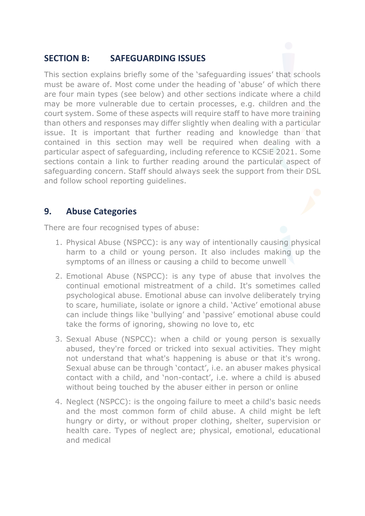## **SECTION B: SAFEGUARDING ISSUES**

This section explains briefly some of the 'safeguarding issues' that schools must be aware of. Most come under the heading of 'abuse' of which there are four main types (see below) and other sections indicate where a child may be more vulnerable due to certain processes, e.g. children and the court system. Some of these aspects will require staff to have more training than others and responses may differ slightly when dealing with a particular issue. It is important that further reading and knowledge than that contained in this section may well be required when dealing with a particular aspect of safeguarding, including reference to KCSiE 2021. Some sections contain a link to further reading around the particular aspect of safeguarding concern. Staff should always seek the support from their DSL and follow school reporting guidelines.

#### **9. Abuse Categories**

There are four recognised types of abuse:

- 1. Physical Abuse (NSPCC): is any way of intentionally causing physical harm to a child or young person. It also includes making up the symptoms of an illness or causing a child to become unwell
- 2. Emotional Abuse (NSPCC): is any type of abuse that involves the continual emotional mistreatment of a child. It's sometimes called psychological abuse. Emotional abuse can involve deliberately trying to scare, humiliate, isolate or ignore a child. 'Active' emotional abuse can include things like 'bullying' and 'passive' emotional abuse could take the forms of ignoring, showing no love to, etc
- 3. Sexual Abuse (NSPCC): when a child or young person is sexually abused, they're forced or tricked into sexual activities. They might not understand that what's happening is abuse or that it's wrong. Sexual abuse can be through 'contact', i.e. an abuser makes physical contact with a child, and 'non-contact', i.e. where a child is abused without being touched by the abuser either in person or online
- 4. Neglect (NSPCC): is the ongoing failure to meet a child's basic needs and the most common form of child abuse. A child might be left hungry or dirty, or without proper clothing, shelter, supervision or health care. Types of neglect are; physical, emotional, educational and medical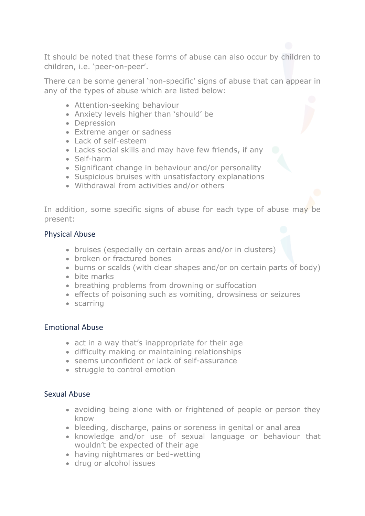It should be noted that these forms of abuse can also occur by children to children, i.e. 'peer-on-peer'.

There can be some general 'non-specific' signs of abuse that can appear in any of the types of abuse which are listed below:

- Attention-seeking behaviour
- Anxiety levels higher than 'should' be
- Depression
- Extreme anger or sadness
- Lack of self-esteem
- Lacks social skills and may have few friends, if any
- Self-harm
- Significant change in behaviour and/or personality
- Suspicious bruises with unsatisfactory explanations
- Withdrawal from activities and/or others

In addition, some specific signs of abuse for each type of abuse may be present:

#### Physical Abuse

- bruises (especially on certain areas and/or in clusters)
- broken or fractured bones
- burns or scalds (with clear shapes and/or on certain parts of body)
- bite marks
- breathing problems from drowning or suffocation
- effects of poisoning such as vomiting, drowsiness or seizures
- scarring

#### Emotional Abuse

- act in a way that's inappropriate for their age
- difficulty making or maintaining relationships
- seems unconfident or lack of self-assurance
- struggle to control emotion

#### Sexual Abuse

- avoiding being alone with or frightened of people or person they know
- bleeding, discharge, pains or soreness in genital or anal area
- knowledge and/or use of sexual language or behaviour that wouldn't be expected of their age
- having nightmares or bed-wetting
- drug or alcohol issues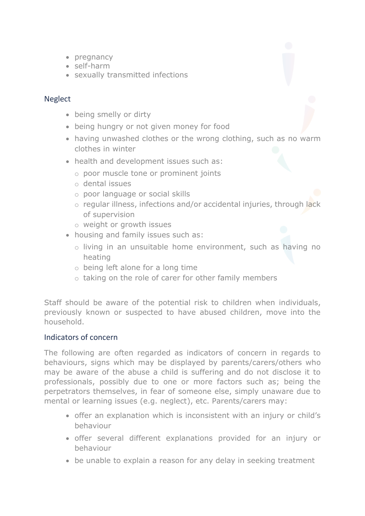- pregnancy
- self-harm
- sexually transmitted infections

#### Neglect

- being smelly or dirty
- being hungry or not given money for food
- having unwashed clothes or the wrong clothing, such as no warm clothes in winter
- health and development issues such as:
	- o poor muscle tone or prominent joints
	- o dental issues
	- o poor language or social skills
	- o regular illness, infections and/or accidental injuries, through lack of supervision
	- o weight or growth issues
- housing and family issues such as:
	- o living in an unsuitable home environment, such as having no heating
	- o being left alone for a long time
	- o taking on the role of carer for other family members

Staff should be aware of the potential risk to children when individuals, previously known or suspected to have abused children, move into the household.

#### Indicators of concern

The following are often regarded as indicators of concern in regards to behaviours, signs which may be displayed by parents/carers/others who may be aware of the abuse a child is suffering and do not disclose it to professionals, possibly due to one or more factors such as; being the perpetrators themselves, in fear of someone else, simply unaware due to mental or learning issues (e.g. neglect), etc. Parents/carers may:

- offer an explanation which is inconsistent with an injury or child's behaviour
- offer several different explanations provided for an injury or behaviour
- be unable to explain a reason for any delay in seeking treatment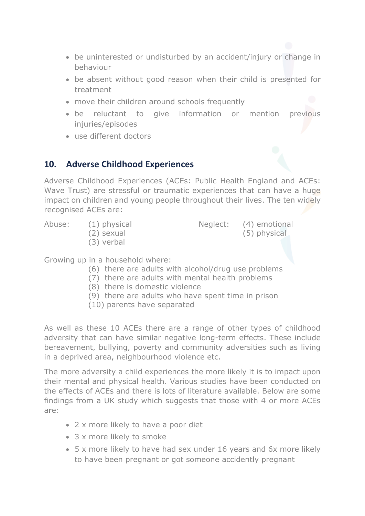- be uninterested or undisturbed by an accident/injury or change in behaviour
- be absent without good reason when their child is presented for treatment
- move their children around schools frequently
- be reluctant to give information or mention previous injuries/episodes
- use different doctors

## **10. Adverse Childhood Experiences**

Adverse Childhood Experiences (ACEs: Public Health England and ACEs: Wave Trust) are stressful or traumatic experiences that can have a huge impact on children and young people throughout their lives. The ten widely recognised ACEs are:

Abuse: (1) physical Neglect: (4) emotional

(2) sexual (5) physical

(3) verbal

Growing up in a household where:

- (6) there are adults with alcohol/drug use problems
- (7) there are adults with mental health problems
- (8) there is domestic violence
- (9) there are adults who have spent time in prison
- (10) parents have separated

As well as these 10 ACEs there are a range of other types of childhood adversity that can have similar negative long-term effects. These include bereavement, bullying, poverty and community adversities such as living in a deprived area, neighbourhood violence etc.

The more adversity a child experiences the more likely it is to impact upon their mental and physical health. Various studies have been conducted on the effects of ACEs and there is lots of literature available. Below are some findings from a UK study which suggests that those with 4 or more ACEs are:

- 2 x more likely to have a poor diet
- 3 x more likely to smoke
- 5 x more likely to have had sex under 16 years and 6x more likely to have been pregnant or got someone accidently pregnant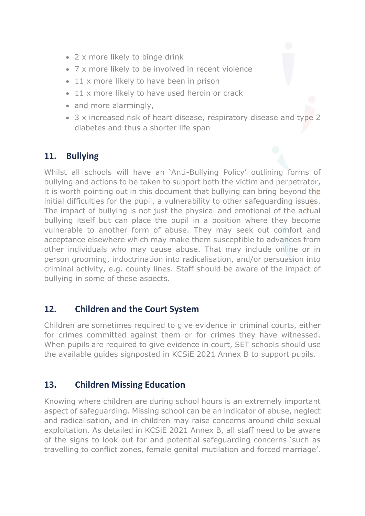- 2 x more likely to binge drink
- 7 x more likely to be involved in recent violence
- 11 x more likely to have been in prison
- 11 x more likely to have used heroin or crack
- and more alarmingly,
- 3 x increased risk of heart disease, respiratory disease and type 2 diabetes and thus a shorter life span

#### **11. Bullying**

Whilst all schools will have an 'Anti-Bullying Policy' outlining forms of bullying and actions to be taken to support both the victim and perpetrator, it is worth pointing out in this document that bullying can bring beyond the initial difficulties for the pupil, a vulnerability to other safeguarding issues. The impact of bullying is not just the physical and emotional of the actual bullying itself but can place the pupil in a position where they become vulnerable to another form of abuse. They may seek out comfort and acceptance elsewhere which may make them susceptible to advances from other individuals who may cause abuse. That may include online or in person grooming, indoctrination into radicalisation, and/or persuasion into criminal activity, e.g. county lines. Staff should be aware of the impact of bullying in some of these aspects.

#### **12. Children and the Court System**

Children are sometimes required to give evidence in criminal courts, either for crimes committed against them or for crimes they have witnessed. When pupils are required to give evidence in court, SET schools should use the available guides signposted in KCSiE 2021 Annex B to support pupils.

#### **13. Children Missing Education**

Knowing where children are during school hours is an extremely important aspect of safeguarding. Missing school can be an indicator of abuse, neglect and radicalisation, and in children may raise concerns around child sexual exploitation. As detailed in KCSiE 2021 Annex B, all staff need to be aware of the signs to look out for and potential safeguarding concerns 'such as travelling to conflict zones, female genital mutilation and forced marriage'.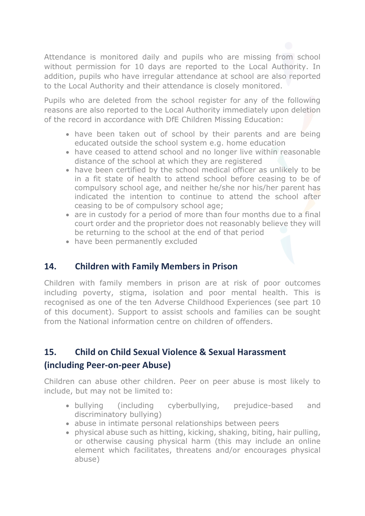Attendance is monitored daily and pupils who are missing from school without permission for 10 days are reported to the Local Authority. In addition, pupils who have irregular attendance at school are also reported to the Local Authority and their attendance is closely monitored.

Pupils who are deleted from the school register for any of the following reasons are also reported to the Local Authority immediately upon deletion of the record in accordance with DfE Children Missing Education:

- have been taken out of school by their parents and are being educated outside the school system e.g. home education
- have ceased to attend school and no longer live within reasonable distance of the school at which they are registered
- have been certified by the school medical officer as unlikely to be in a fit state of health to attend school before ceasing to be of compulsory school age, and neither he/she nor his/her parent has indicated the intention to continue to attend the school after ceasing to be of compulsory school age;
- are in custody for a period of more than four months due to a final court order and the proprietor does not reasonably believe they will be returning to the school at the end of that period
- have been permanently excluded

## **14. Children with Family Members in Prison**

Children with family members in prison are at risk of poor outcomes including poverty, stigma, isolation and poor mental health. This is recognised as one of the ten Adverse Childhood Experiences (see part 10 of this document). Support to assist schools and families can be sought from the National information centre on children of offenders.

## **15. Child on Child Sexual Violence & Sexual Harassment (including Peer-on-peer Abuse)**

Children can abuse other children. Peer on peer abuse is most likely to include, but may not be limited to:

- bullying (including cyberbullying, prejudice-based and discriminatory bullying)
- abuse in intimate personal relationships between peers
- physical abuse such as hitting, kicking, shaking, biting, hair pulling, or otherwise causing physical harm (this may include an online element which facilitates, threatens and/or encourages physical abuse)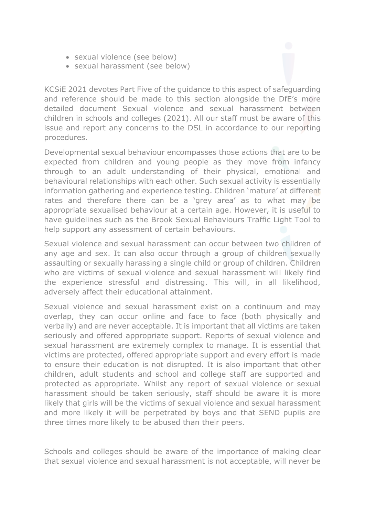- sexual violence (see below)
- sexual harassment (see below)

KCSiE 2021 devotes Part Five of the guidance to this aspect of safeguarding and reference should be made to this section alongside the DfE's more detailed document Sexual violence and sexual harassment between children in schools and colleges (2021). All our staff must be aware of this issue and report any concerns to the DSL in accordance to our reporting procedures.

Developmental sexual behaviour encompasses those actions that are to be expected from children and young people as they move from infancy through to an adult understanding of their physical, emotional and behavioural relationships with each other. Such sexual activity is essentially information gathering and experience testing. Children 'mature' at different rates and therefore there can be a 'grey area' as to what may be appropriate sexualised behaviour at a certain age. However, it is useful to have guidelines such as the Brook Sexual Behaviours Traffic Light Tool to help support any assessment of certain behaviours.

Sexual violence and sexual harassment can occur between two children of any age and sex. It can also occur through a group of children sexually assaulting or sexually harassing a single child or group of children. Children who are victims of sexual violence and sexual harassment will likely find the experience stressful and distressing. This will, in all likelihood, adversely affect their educational attainment.

Sexual violence and sexual harassment exist on a continuum and may overlap, they can occur online and face to face (both physically and verbally) and are never acceptable. It is important that all victims are taken seriously and offered appropriate support. Reports of sexual violence and sexual harassment are extremely complex to manage. It is essential that victims are protected, offered appropriate support and every effort is made to ensure their education is not disrupted. It is also important that other children, adult students and school and college staff are supported and protected as appropriate. Whilst any report of sexual violence or sexual harassment should be taken seriously, staff should be aware it is more likely that girls will be the victims of sexual violence and sexual harassment and more likely it will be perpetrated by boys and that SEND pupils are three times more likely to be abused than their peers.

Schools and colleges should be aware of the importance of making clear that sexual violence and sexual harassment is not acceptable, will never be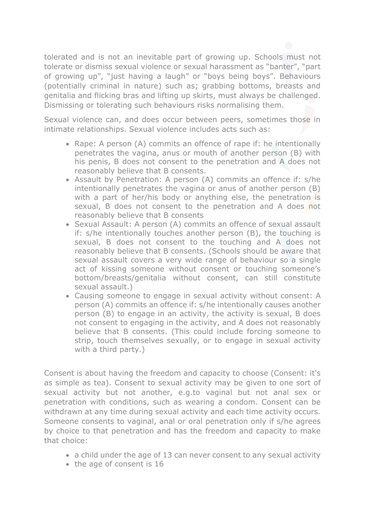tolerated and is not an inevitable part of growing up. Schools must not tolerate or dismiss sexual violence or sexual harassment as "banter", "part of growing up", "just having a laugh" or "boys being boys". Behaviours (potentially criminal in nature) such as; grabbing bottoms, breasts and genitalia and flicking bras and lifting up skirts, must always be challenged. Dismissing or tolerating such behaviours risks normalising them.

Sexual violence can, and does occur between peers, sometimes those in intimate relationships. Sexual violence includes acts such as:

- Rape: A person (A) commits an offence of rape if: he intentionally penetrates the vagina, anus or mouth of another person (B) with his penis, B does not consent to the penetration and A does not reasonably believe that B consents.
- Assault by Penetration: A person (A) commits an offence if: s/he intentionally penetrates the vagina or anus of another person (B) with a part of her/his body or anything else, the penetration is sexual, B does not consent to the penetration and A does not reasonably believe that B consents
- Sexual Assault: A person (A) commits an offence of sexual assault if: s/he intentionally touches another person (B), the touching is sexual, B does not consent to the touching and A does not reasonably believe that B consents. (Schools should be aware that sexual assault covers a very wide range of behaviour so a single act of kissing someone without consent or touching someone's bottom/breasts/genitalia without consent, can still constitute sexual assault.)
- Causing someone to engage in sexual activity without consent: A person (A) commits an offence if: s/he intentionally causes another person (B) to engage in an activity, the activity is sexual, B does not consent to engaging in the activity, and A does not reasonably believe that B consents. (This could include forcing someone to strip, touch themselves sexually, or to engage in sexual activity with a third party.)

Consent is about having the freedom and capacity to choose (Consent: it's as simple as tea). Consent to sexual activity may be given to one sort of sexual activity but not another, e.g.to vaginal but not anal sex or penetration with conditions, such as wearing a condom. Consent can be withdrawn at any time during sexual activity and each time activity occurs. Someone consents to vaginal, anal or oral penetration only if s/he agrees by choice to that penetration and has the freedom and capacity to make that choice:

- a child under the age of 13 can never consent to any sexual activity
- the age of consent is 16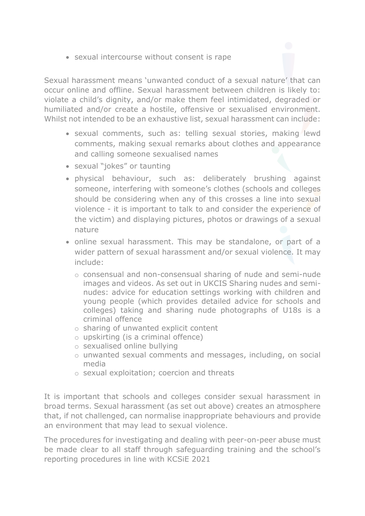• sexual intercourse without consent is rape

Sexual harassment means 'unwanted conduct of a sexual nature' that can occur online and offline. Sexual harassment between children is likely to: violate a child's dignity, and/or make them feel intimidated, degraded or humiliated and/or create a hostile, offensive or sexualised environment. Whilst not intended to be an exhaustive list, sexual harassment can include:

- sexual comments, such as: telling sexual stories, making lewd comments, making sexual remarks about clothes and appearance and calling someone sexualised names
- sexual "jokes" or taunting
- physical behaviour, such as: deliberately brushing against someone, interfering with someone's clothes (schools and colleges should be considering when any of this crosses a line into sexual violence - it is important to talk to and consider the experience of the victim) and displaying pictures, photos or drawings of a sexual nature
- online sexual harassment. This may be standalone, or part of a wider pattern of sexual harassment and/or sexual violence. It may include:
	- o consensual and non-consensual sharing of nude and semi-nude images and videos. As set out in UKCIS Sharing nudes and seminudes: advice for education settings working with children and young people (which provides detailed advice for schools and colleges) taking and sharing nude photographs of U18s is a criminal offence
	- o sharing of unwanted explicit content
	- o upskirting (is a criminal offence)
	- o sexualised online bullying
	- o unwanted sexual comments and messages, including, on social media
	- o sexual exploitation; coercion and threats

It is important that schools and colleges consider sexual harassment in broad terms. Sexual harassment (as set out above) creates an atmosphere that, if not challenged, can normalise inappropriate behaviours and provide an environment that may lead to sexual violence.

The procedures for investigating and dealing with peer-on-peer abuse must be made clear to all staff through safeguarding training and the school's reporting procedures in line with KCSiE 2021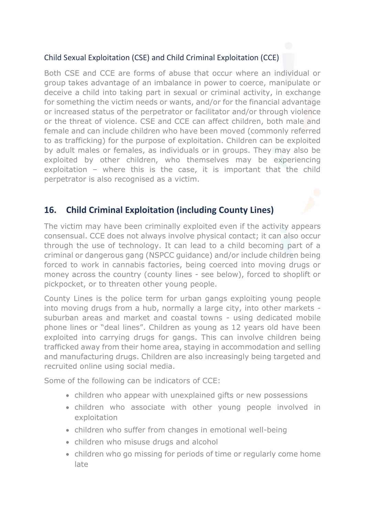#### Child Sexual Exploitation (CSE) and Child Criminal Exploitation (CCE)

Both CSE and CCE are forms of abuse that occur where an individual or group takes advantage of an imbalance in power to coerce, manipulate or deceive a child into taking part in sexual or criminal activity, in exchange for something the victim needs or wants, and/or for the financial advantage or increased status of the perpetrator or facilitator and/or through violence or the threat of violence. CSE and CCE can affect children, both male and female and can include children who have been moved (commonly referred to as trafficking) for the purpose of exploitation. Children can be exploited by adult males or females, as individuals or in groups. They may also be exploited by other children, who themselves may be experiencing exploitation – where this is the case, it is important that the child perpetrator is also recognised as a victim.

## **16. Child Criminal Exploitation (including County Lines)**

The victim may have been criminally exploited even if the activity appears consensual. CCE does not always involve physical contact; it can also occur through the use of technology. It can lead to a child becoming part of a criminal or dangerous gang (NSPCC guidance) and/or include children being forced to work in cannabis factories, being coerced into moving drugs or money across the country (county lines - see below), forced to shoplift or pickpocket, or to threaten other young people.

County Lines is the police term for urban gangs exploiting young people into moving drugs from a hub, normally a large city, into other markets suburban areas and market and coastal towns - using dedicated mobile phone lines or "deal lines". Children as young as 12 years old have been exploited into carrying drugs for gangs. This can involve children being trafficked away from their home area, staying in accommodation and selling and manufacturing drugs. Children are also increasingly being targeted and recruited online using social media.

Some of the following can be indicators of CCE:

- children who appear with unexplained gifts or new possessions
- children who associate with other young people involved in exploitation
- children who suffer from changes in emotional well-being
- children who misuse drugs and alcohol
- children who go missing for periods of time or regularly come home late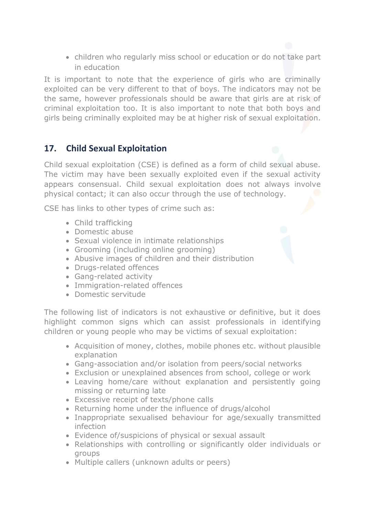• children who regularly miss school or education or do not take part in education

It is important to note that the experience of girls who are criminally exploited can be very different to that of boys. The indicators may not be the same, however professionals should be aware that girls are at risk of criminal exploitation too. It is also important to note that both boys and girls being criminally exploited may be at higher risk of sexual exploitation.

## **17. Child Sexual Exploitation**

Child sexual exploitation (CSE) is defined as a form of child sexual abuse. The victim may have been sexually exploited even if the sexual activity appears consensual. Child sexual exploitation does not always involve physical contact; it can also occur through the use of technology.

CSE has links to other types of crime such as:

- Child trafficking
- Domestic abuse
- Sexual violence in intimate relationships
- Grooming (including online grooming)
- Abusive images of children and their distribution
- Drugs-related offences
- Gang-related activity
- Immigration-related offences
- Domestic servitude

The following list of indicators is not exhaustive or definitive, but it does highlight common signs which can assist professionals in identifying children or young people who may be victims of sexual exploitation:

- Acquisition of money, clothes, mobile phones etc. without plausible explanation
- Gang-association and/or isolation from peers/social networks
- Exclusion or unexplained absences from school, college or work
- Leaving home/care without explanation and persistently going missing or returning late
- Excessive receipt of texts/phone calls
- Returning home under the influence of drugs/alcohol
- Inappropriate sexualised behaviour for age/sexually transmitted infection
- Evidence of/suspicions of physical or sexual assault
- Relationships with controlling or significantly older individuals or groups
- Multiple callers (unknown adults or peers)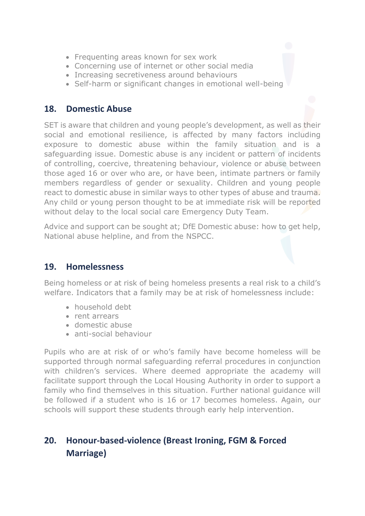- Frequenting areas known for sex work
- Concerning use of internet or other social media
- Increasing secretiveness around behaviours
- Self-harm or significant changes in emotional well-being

#### **18. Domestic Abuse**

SET is aware that children and young people's development, as well as their social and emotional resilience, is affected by many factors including exposure to domestic abuse within the family situation and is a safeguarding issue. Domestic abuse is any incident or pattern of incidents of controlling, coercive, threatening behaviour, violence or abuse between those aged 16 or over who are, or have been, intimate partners or family members regardless of gender or sexuality. Children and young people react to domestic abuse in similar ways to other types of abuse and trauma. Any child or young person thought to be at immediate risk will be reported without delay to the local social care Emergency Duty Team.

Advice and support can be sought at; DfE Domestic abuse: how to get help, National abuse helpline, and from the NSPCC.

#### **19. Homelessness**

Being homeless or at risk of being homeless presents a real risk to a child's welfare. Indicators that a family may be at risk of homelessness include:

- household debt
- rent arrears
- domestic abuse
- anti-social behaviour

Pupils who are at risk of or who's family have become homeless will be supported through normal safeguarding referral procedures in conjunction with children's services. Where deemed appropriate the academy will facilitate support through the Local Housing Authority in order to support a family who find themselves in this situation. Further national guidance will be followed if a student who is 16 or 17 becomes homeless. Again, our schools will support these students through early help intervention.

## **20. Honour-based-violence (Breast Ironing, FGM & Forced Marriage)**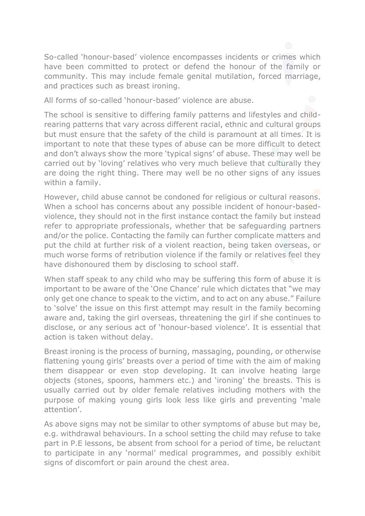So-called 'honour-based' violence encompasses incidents or crimes which have been committed to protect or defend the honour of the family or community. This may include female genital mutilation, forced marriage, and practices such as breast ironing.

All forms of so-called 'honour-based' violence are abuse.

The school is sensitive to differing family patterns and lifestyles and childrearing patterns that vary across different racial, ethnic and cultural groups but must ensure that the safety of the child is paramount at all times. It is important to note that these types of abuse can be more difficult to detect and don't always show the more 'typical signs' of abuse. These may well be carried out by 'loving' relatives who very much believe that culturally they are doing the right thing. There may well be no other signs of any issues within a family.

However, child abuse cannot be condoned for religious or cultural reasons. When a school has concerns about any possible incident of honour-basedviolence, they should not in the first instance contact the family but instead refer to appropriate professionals, whether that be safeguarding partners and/or the police. Contacting the family can further complicate matters and put the child at further risk of a violent reaction, being taken overseas, or much worse forms of retribution violence if the family or relatives feel they have dishonoured them by disclosing to school staff.

When staff speak to any child who may be suffering this form of abuse it is important to be aware of the 'One Chance' rule which dictates that "we may only get one chance to speak to the victim, and to act on any abuse." Failure to 'solve' the issue on this first attempt may result in the family becoming aware and, taking the girl overseas, threatening the girl if she continues to disclose, or any serious act of 'honour-based violence'. It is essential that action is taken without delay.

Breast ironing is the process of burning, massaging, pounding, or otherwise flattening young girls' breasts over a period of time with the aim of making them disappear or even stop developing. It can involve heating large objects (stones, spoons, hammers etc.) and 'ironing' the breasts. This is usually carried out by older female relatives including mothers with the purpose of making young girls look less like girls and preventing 'male attention'.

As above signs may not be similar to other symptoms of abuse but may be, e.g. withdrawal behaviours. In a school setting the child may refuse to take part in P.E lessons, be absent from school for a period of time, be reluctant to participate in any 'normal' medical programmes, and possibly exhibit signs of discomfort or pain around the chest area.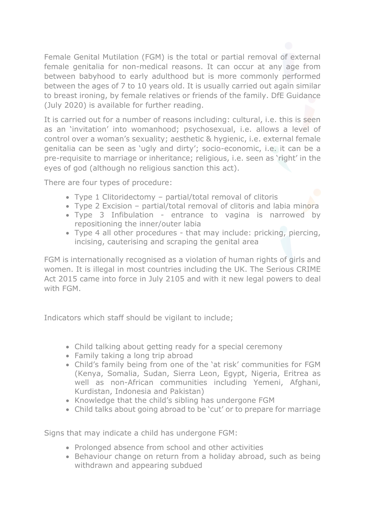Female Genital Mutilation (FGM) is the total or partial removal of external female genitalia for non-medical reasons. It can occur at any age from between babyhood to early adulthood but is more commonly performed between the ages of 7 to 10 years old. It is usually carried out again similar to breast ironing, by female relatives or friends of the family. DfE Guidance (July 2020) is available for further reading.

It is carried out for a number of reasons including: cultural, i.e. this is seen as an 'invitation' into womanhood; psychosexual, i.e. allows a level of control over a woman's sexuality; aesthetic & hygienic, i.e. external female genitalia can be seen as 'ugly and dirty'; socio-economic, i.e. it can be a pre-requisite to marriage or inheritance; religious, i.e. seen as 'right' in the eyes of god (although no religious sanction this act).

There are four types of procedure:

- Type 1 Clitoridectomy partial/total removal of clitoris
- Type 2 Excision partial/total removal of clitoris and labia minora
- Type 3 Infibulation entrance to vagina is narrowed by repositioning the inner/outer labia
- Type 4 all other procedures that may include: pricking, piercing, incising, cauterising and scraping the genital area

FGM is internationally recognised as a violation of human rights of girls and women. It is illegal in most countries including the UK. The Serious CRIME Act 2015 came into force in July 2105 and with it new legal powers to deal with FGM.

Indicators which staff should be vigilant to include;

- Child talking about getting ready for a special ceremony
- Family taking a long trip abroad
- Child's family being from one of the 'at risk' communities for FGM (Kenya, Somalia, Sudan, Sierra Leon, Egypt, Nigeria, Eritrea as well as non-African communities including Yemeni, Afghani, Kurdistan, Indonesia and Pakistan)
- Knowledge that the child's sibling has undergone FGM
- Child talks about going abroad to be 'cut' or to prepare for marriage

Signs that may indicate a child has undergone FGM:

- Prolonged absence from school and other activities
- Behaviour change on return from a holiday abroad, such as being withdrawn and appearing subdued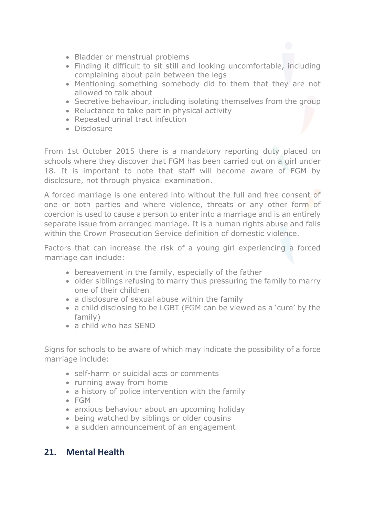- Bladder or menstrual problems
- Finding it difficult to sit still and looking uncomfortable, including complaining about pain between the legs
- Mentioning something somebody did to them that they are not allowed to talk about
- Secretive behaviour, including isolating themselves from the group
- Reluctance to take part in physical activity
- Repeated urinal tract infection
- Disclosure

From 1st October 2015 there is a mandatory reporting duty placed on schools where they discover that FGM has been carried out on a girl under 18. It is important to note that staff will become aware of FGM by disclosure, not through physical examination.

A forced marriage is one entered into without the full and free consent of one or both parties and where violence, threats or any other form of coercion is used to cause a person to enter into a marriage and is an entirely separate issue from arranged marriage. It is a human rights abuse and falls within the Crown Prosecution Service definition of domestic violence.

Factors that can increase the risk of a young girl experiencing a forced marriage can include:

- bereavement in the family, especially of the father
- older siblings refusing to marry thus pressuring the family to marry one of their children
- a disclosure of sexual abuse within the family
- a child disclosing to be LGBT (FGM can be viewed as a 'cure' by the family)
- a child who has SEND

Signs for schools to be aware of which may indicate the possibility of a force marriage include:

- self-harm or suicidal acts or comments
- running away from home
- a history of police intervention with the family
- FGM
- anxious behaviour about an upcoming holiday
- being watched by siblings or older cousins
- a sudden announcement of an engagement

## **21. Mental Health**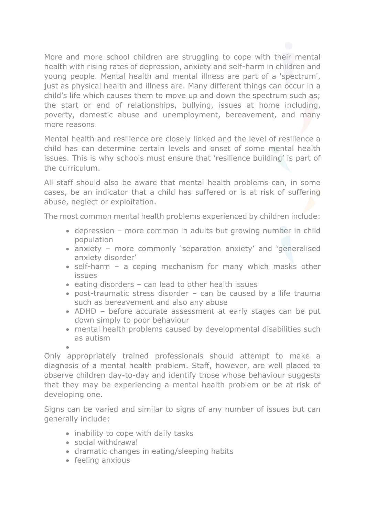More and more school children are struggling to cope with their mental health with rising rates of depression, anxiety and self-harm in children and young people. Mental health and mental illness are part of a 'spectrum', just as physical health and illness are. Many different things can occur in a child's life which causes them to move up and down the spectrum such as; the start or end of relationships, bullying, issues at home including, poverty, domestic abuse and unemployment, bereavement, and many more reasons.

Mental health and resilience are closely linked and the level of resilience a child has can determine certain levels and onset of some mental health issues. This is why schools must ensure that 'resilience building' is part of the curriculum.

All staff should also be aware that mental health problems can, in some cases, be an indicator that a child has suffered or is at risk of suffering abuse, neglect or exploitation.

The most common mental health problems experienced by children include:

- depression more common in adults but growing number in child population
- anxiety more commonly 'separation anxiety' and 'generalised anxiety disorder'
- self-harm a coping mechanism for many which masks other issues
- eating disorders can lead to other health issues
- post-traumatic stress disorder can be caused by a life trauma such as bereavement and also any abuse
- ADHD before accurate assessment at early stages can be put down simply to poor behaviour
- mental health problems caused by developmental disabilities such as autism

•

Only appropriately trained professionals should attempt to make a diagnosis of a mental health problem. Staff, however, are well placed to observe children day-to-day and identify those whose behaviour suggests that they may be experiencing a mental health problem or be at risk of developing one.

Signs can be varied and similar to signs of any number of issues but can generally include:

- inability to cope with daily tasks
- social withdrawal
- dramatic changes in eating/sleeping habits
- feeling anxious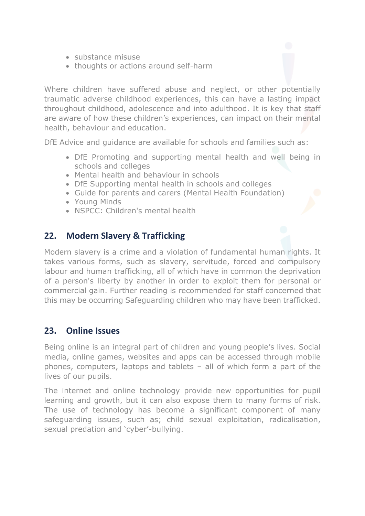- substance misuse
- thoughts or actions around self-harm

Where children have suffered abuse and neglect, or other potentially traumatic adverse childhood experiences, this can have a lasting impact throughout childhood, adolescence and into adulthood. It is key that staff are aware of how these children's experiences, can impact on their mental health, behaviour and education.

DfE Advice and guidance are available for schools and families such as:

- DfE Promoting and supporting mental health and well being in schools and colleges
- Mental health and behaviour in schools
- DfE Supporting mental health in schools and colleges
- Guide for parents and carers (Mental Health Foundation)
- Young Minds
- NSPCC: Children's mental health

#### **22. Modern Slavery & Trafficking**

Modern slavery is a crime and a violation of fundamental human rights. It takes various forms, such as slavery, servitude, forced and compulsory labour and human trafficking, all of which have in common the deprivation of a person's liberty by another in order to exploit them for personal or commercial gain. Further reading is recommended for staff concerned that this may be occurring Safeguarding children who may have been trafficked.

#### **23. Online Issues**

Being online is an integral part of children and young people's lives. Social media, online games, websites and apps can be accessed through mobile phones, computers, laptops and tablets – all of which form a part of the lives of our pupils.

The internet and online technology provide new opportunities for pupil learning and growth, but it can also expose them to many forms of risk. The use of technology has become a significant component of many safeguarding issues, such as; child sexual exploitation, radicalisation, sexual predation and 'cyber'-bullying.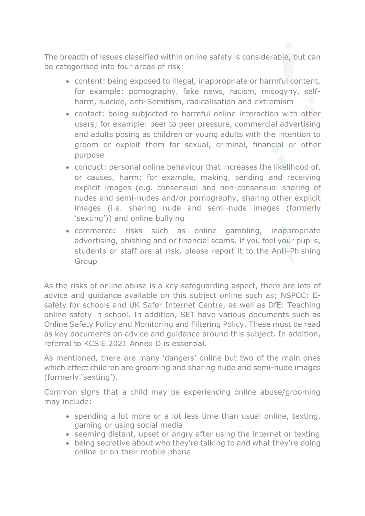The breadth of issues classified within online safety is considerable, but can be categorised into four areas of risk:

- content: being exposed to illegal, inappropriate or harmful content, for example: pornography, fake news, racism, misogyny, selfharm, suicide, anti-Semitism, radicalisation and extremism
- contact: being subjected to harmful online interaction with other users; for example: peer to peer pressure, commercial advertising and adults posing as children or young adults with the intention to groom or exploit them for sexual, criminal, financial or other purpose
- conduct: personal online behaviour that increases the likelihood of, or causes, harm; for example, making, sending and receiving explicit images (e.g. consensual and non-consensual sharing of nudes and semi-nudes and/or pornography, sharing other explicit images (i.e. sharing nude and semi-nude images (formerly 'sexting')) and online bullying
- commerce: risks such as online gambling, inappropriate advertising, phishing and or financial scams. If you feel your pupils, students or staff are at risk, please report it to the Anti-Phishing Group

As the risks of online abuse is a key safeguarding aspect, there are lots of advice and guidance available on this subject online such as; NSPCC: Esafety for schools and UK Safer Internet Centre, as well as DfE: Teaching online safety in school. In addition, SET have various documents such as Online Safety Policy and Monitoring and Filtering Policy. These must be read as key documents on advice and guidance around this subject. In addition, referral to KCSiE 2021 Annex D is essential.

As mentioned, there are many 'dangers' online but two of the main ones which effect children are grooming and sharing nude and semi-nude images (formerly 'sexting').

Common signs that a child may be experiencing online abuse/grooming may include:

- spending a lot more or a lot less time than usual online, texting, gaming or using social media
- seeming distant, upset or angry after using the internet or texting
- being secretive about who they're talking to and what they're doing online or on their mobile phone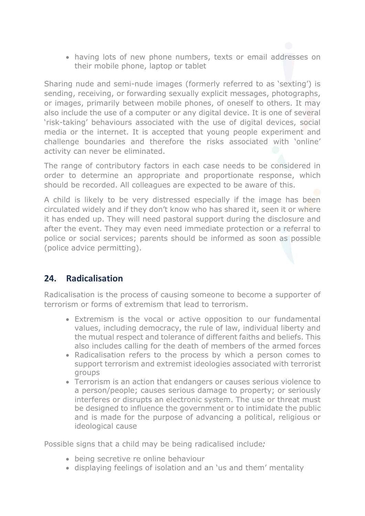• having lots of new phone numbers, texts or email addresses on their mobile phone, laptop or tablet

Sharing nude and semi-nude images (formerly referred to as 'sexting') is sending, receiving, or forwarding sexually explicit messages, photographs, or images, primarily between mobile phones, of oneself to others. It may also include the use of a computer or any digital device. It is one of several 'risk-taking' behaviours associated with the use of digital devices, social media or the internet. It is accepted that young people experiment and challenge boundaries and therefore the risks associated with 'online' activity can never be eliminated.

The range of contributory factors in each case needs to be considered in order to determine an appropriate and proportionate response, which should be recorded. All colleagues are expected to be aware of this.

A child is likely to be very distressed especially if the image has been circulated widely and if they don't know who has shared it, seen it or where it has ended up. They will need pastoral support during the disclosure and after the event. They may even need immediate protection or a referral to police or social services; parents should be informed as soon as possible (police advice permitting).

## **24. Radicalisation**

Radicalisation is the process of causing someone to become a supporter of terrorism or forms of extremism that lead to terrorism.

- Extremism is the vocal or active opposition to our fundamental values, including democracy, the rule of law, individual liberty and the mutual respect and tolerance of different faiths and beliefs. This also includes calling for the death of members of the armed forces
- Radicalisation refers to the process by which a person comes to support terrorism and extremist ideologies associated with terrorist groups
- Terrorism is an action that endangers or causes serious violence to a person/people; causes serious damage to property; or seriously interferes or disrupts an electronic system. The use or threat must be designed to influence the government or to intimidate the public and is made for the purpose of advancing a political, religious or ideological cause

Possible signs that a child may be being radicalised include*:*

- being secretive re online behaviour
- displaying feelings of isolation and an 'us and them' mentality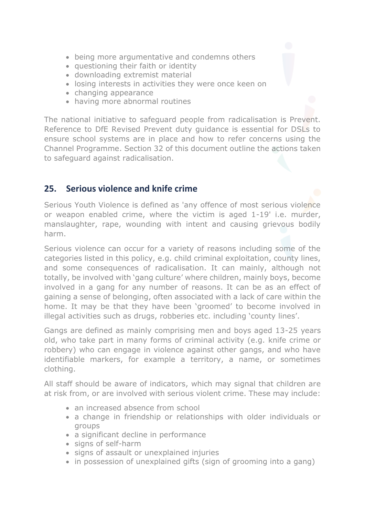- being more argumentative and condemns others
- questioning their faith or identity
- downloading extremist material
- losing interests in activities they were once keen on
- changing appearance
- having more abnormal routines

The national initiative to safeguard people from radicalisation is Prevent. Reference to DfE Revised Prevent duty guidance is essential for DSLs to ensure school systems are in place and how to refer concerns using the Channel Programme. Section 32 of this document outline the actions taken to safeguard against radicalisation.

#### **25. Serious violence and knife crime**

Serious Youth Violence is defined as 'any offence of most serious violence or weapon enabled crime, where the victim is aged 1-19' i.e. murder, manslaughter, rape, wounding with intent and causing grievous bodily harm.

Serious violence can occur for a variety of reasons including some of the categories listed in this policy, e.g. child criminal exploitation, county lines, and some consequences of radicalisation. It can mainly, although not totally, be involved with 'gang culture' where children, mainly boys, become involved in a gang for any number of reasons. It can be as an effect of gaining a sense of belonging, often associated with a lack of care within the home. It may be that they have been 'groomed' to become involved in illegal activities such as drugs, robberies etc. including 'county lines'.

Gangs are defined as mainly comprising men and boys aged 13-25 years old, who take part in many forms of criminal activity (e.g. knife crime or robbery) who can engage in violence against other gangs, and who have identifiable markers, for example a territory, a name, or sometimes clothing.

All staff should be aware of indicators, which may signal that children are at risk from, or are involved with serious violent crime. These may include:

- an increased absence from school
- a change in friendship or relationships with older individuals or groups
- a significant decline in performance
- signs of self-harm
- signs of assault or unexplained injuries
- in possession of unexplained gifts (sign of grooming into a gang)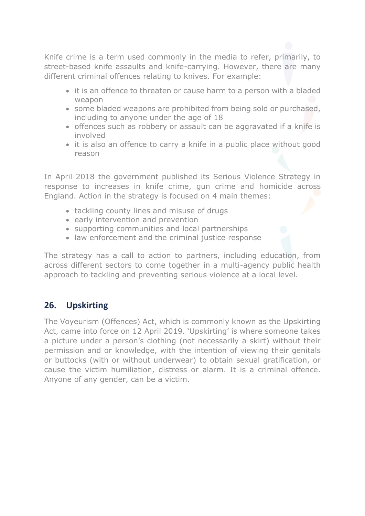Knife crime is a term used commonly in the media to refer, primarily, to street-based knife assaults and knife-carrying. However, there are many different criminal offences relating to knives. For example:

- it is an offence to threaten or cause harm to a person with a bladed weapon
- some bladed weapons are prohibited from being sold or purchased, including to anyone under the age of 18
- offences such as robbery or assault can be aggravated if a knife is involved
- it is also an offence to carry a knife in a public place without good reason

In April 2018 the government published its Serious Violence Strategy in response to increases in knife crime, gun crime and homicide across England. Action in the strategy is focused on 4 main themes:

- tackling county lines and misuse of drugs
- early intervention and prevention
- supporting communities and local partnerships
- law enforcement and the criminal justice response

The strategy has a call to action to partners, including education, from across different sectors to come together in a multi-agency public health approach to tackling and preventing serious violence at a local level.

## **26. Upskirting**

The Voyeurism (Offences) Act, which is commonly known as the Upskirting Act, came into force on 12 April 2019. 'Upskirting' is where someone takes a picture under a person's clothing (not necessarily a skirt) without their permission and or knowledge, with the intention of viewing their genitals or buttocks (with or without underwear) to obtain sexual gratification, or cause the victim humiliation, distress or alarm. It is a criminal offence. Anyone of any gender, can be a victim.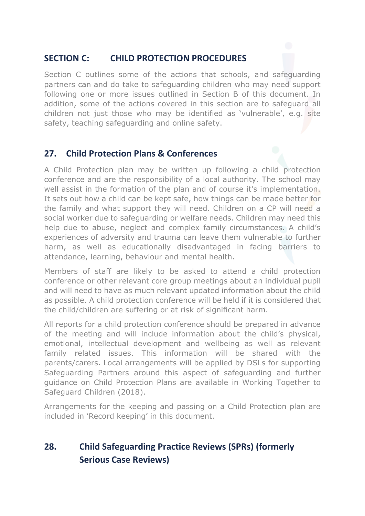## **SECTION C: CHILD PROTECTION PROCEDURES**

Section C outlines some of the actions that schools, and safeguarding partners can and do take to safeguarding children who may need support following one or more issues outlined in Section B of this document. In addition, some of the actions covered in this section are to safeguard all children not just those who may be identified as 'vulnerable', e.g. site safety, teaching safeguarding and online safety.

## **27. Child Protection Plans & Conferences**

A Child Protection plan may be written up following a child protection conference and are the responsibility of a local authority. The school may well assist in the formation of the plan and of course it's implementation. It sets out how a child can be kept safe, how things can be made better for the family and what support they will need. Children on a CP will need a social worker due to safeguarding or welfare needs. Children may need this help due to abuse, neglect and complex family circumstances. A child's experiences of adversity and trauma can leave them vulnerable to further harm, as well as educationally disadvantaged in facing barriers to attendance, learning, behaviour and mental health.

Members of staff are likely to be asked to attend a child protection conference or other relevant core group meetings about an individual pupil and will need to have as much relevant updated information about the child as possible. A child protection conference will be held if it is considered that the child/children are suffering or at risk of significant harm.

All reports for a child protection conference should be prepared in advance of the meeting and will include information about the child's physical, emotional, intellectual development and wellbeing as well as relevant family related issues. This information will be shared with the parents/carers. Local arrangements will be applied by DSLs for supporting Safeguarding Partners around this aspect of safeguarding and further guidance on Child Protection Plans are available in Working Together to Safeguard Children (2018).

Arrangements for the keeping and passing on a Child Protection plan are included in 'Record keeping' in this document.

## **28. Child Safeguarding Practice Reviews (SPRs) (formerly Serious Case Reviews)**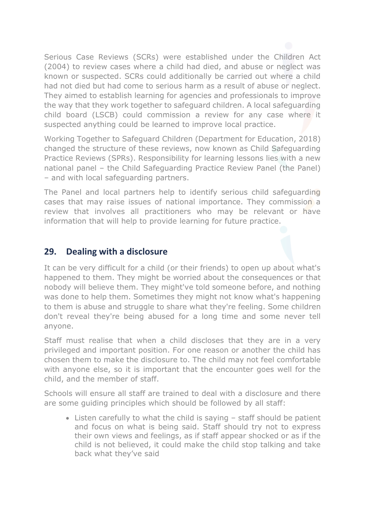Serious Case Reviews (SCRs) were established under the Children Act (2004) to review cases where a child had died, and abuse or neglect was known or suspected. SCRs could additionally be carried out where a child had not died but had come to serious harm as a result of abuse or neglect. They aimed to establish learning for agencies and professionals to improve the way that they work together to safeguard children. A local safeguarding child board (LSCB) could commission a review for any case where it suspected anything could be learned to improve local practice.

Working Together to Safeguard Children (Department for Education, 2018) changed the structure of these reviews, now known as Child Safeguarding Practice Reviews (SPRs). Responsibility for learning lessons lies with a new national panel – the Child Safeguarding Practice Review Panel (the Panel) – and with local safeguarding partners.

The Panel and local partners help to identify serious child safeguarding cases that may raise issues of national importance. They commission a review that involves all practitioners who may be relevant or have information that will help to provide learning for future practice.

#### **29. Dealing with a disclosure**

It can be very difficult for a child (or their friends) to open up about what's happened to them. They might be worried about the consequences or that nobody will believe them. They might've told someone before, and nothing was done to help them. Sometimes they might not know what's happening to them is abuse and struggle to share what they're feeling. Some children don't reveal they're being abused for a long time and some never tell anyone.

Staff must realise that when a child discloses that they are in a very privileged and important position. For one reason or another the child has chosen them to make the disclosure to. The child may not feel comfortable with anyone else, so it is important that the encounter goes well for the child, and the member of staff.

Schools will ensure all staff are trained to deal with a disclosure and there are some guiding principles which should be followed by all staff:

• Listen carefully to what the child is saying – staff should be patient and focus on what is being said. Staff should try not to express their own views and feelings, as if staff appear shocked or as if the child is not believed, it could make the child stop talking and take back what they've said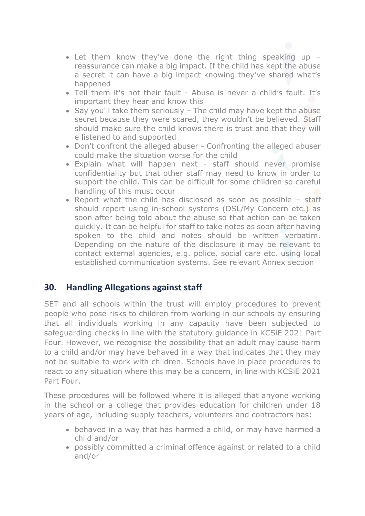- Let them know they've done the right thing speaking up reassurance can make a big impact. If the child has kept the abuse a secret it can have a big impact knowing they've shared what's happened
- Tell them it's not their fault Abuse is never a child's fault. It's important they hear and know this
- Say you'll take them seriously The child may have kept the abuse secret because they were scared, they wouldn't be believed. Staff should make sure the child knows there is trust and that they will e listened to and supported
- Don't confront the alleged abuser Confronting the alleged abuser could make the situation worse for the child
- Explain what will happen next staff should never promise confidentiality but that other staff may need to know in order to support the child. This can be difficult for some children so careful handling of this must occur
- Report what the child has disclosed as soon as possible staff should report using in-school systems (DSL/My Concern etc.) as soon after being told about the abuse so that action can be taken quickly. It can be helpful for staff to take notes as soon after having spoken to the child and notes should be written verbatim. Depending on the nature of the disclosure it may be relevant to contact external agencies, e.g. police, social care etc. using local established communication systems. See relevant Annex section

## **30. Handling Allegations against staff**

SET and all schools within the trust will employ procedures to prevent people who pose risks to children from working in our schools by ensuring that all individuals working in any capacity have been subjected to safeguarding checks in line with the statutory guidance in KCSiE 2021 Part Four. However, we recognise the possibility that an adult may cause harm to a child and/or may have behaved in a way that indicates that they may not be suitable to work with children. Schools have in place procedures to react to any situation where this may be a concern, in line with KCSiE 2021 Part Four.

These procedures will be followed where it is alleged that anyone working in the school or a college that provides education for children under 18 years of age, including supply teachers, volunteers and contractors has:

- behaved in a way that has harmed a child, or may have harmed a child and/or
- possibly committed a criminal offence against or related to a child and/or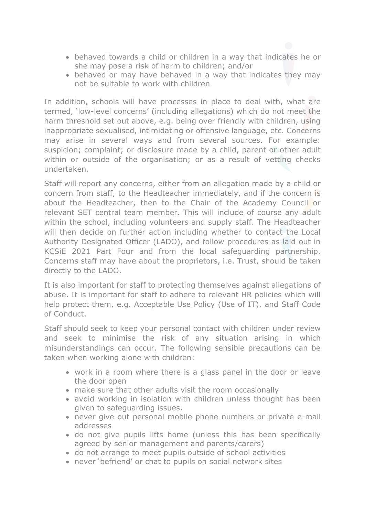- behaved towards a child or children in a way that indicates he or she may pose a risk of harm to children; and/or
- behaved or may have behaved in a way that indicates they may not be suitable to work with children

In addition, schools will have processes in place to deal with, what are termed, 'low-level concerns' (including allegations) which do not meet the harm threshold set out above, e.g. being over friendly with children, using inappropriate sexualised, intimidating or offensive language, etc. Concerns may arise in several ways and from several sources. For example: suspicion; complaint; or disclosure made by a child, parent or other adult within or outside of the organisation; or as a result of vetting checks undertaken.

Staff will report any concerns, either from an allegation made by a child or concern from staff, to the Headteacher immediately, and if the concern is about the Headteacher, then to the Chair of the Academy Council or relevant SET central team member. This will include of course any adult within the school, including volunteers and supply staff. The Headteacher will then decide on further action including whether to contact the Local Authority Designated Officer (LADO), and follow procedures as laid out in KCSiE 2021 Part Four and from the local safeguarding partnership. Concerns staff may have about the proprietors, i.e. Trust, should be taken directly to the LADO.

It is also important for staff to protecting themselves against allegations of abuse. It is important for staff to adhere to relevant HR policies which will help protect them, e.g. Acceptable Use Policy (Use of IT), and Staff Code of Conduct.

Staff should seek to keep your personal contact with children under review and seek to minimise the risk of any situation arising in which misunderstandings can occur. The following sensible precautions can be taken when working alone with children:

- work in a room where there is a glass panel in the door or leave the door open
- make sure that other adults visit the room occasionally
- avoid working in isolation with children unless thought has been given to safeguarding issues.
- never give out personal mobile phone numbers or private e-mail addresses
- do not give pupils lifts home (unless this has been specifically agreed by senior management and parents/carers)
- do not arrange to meet pupils outside of school activities
- never 'befriend' or chat to pupils on social network sites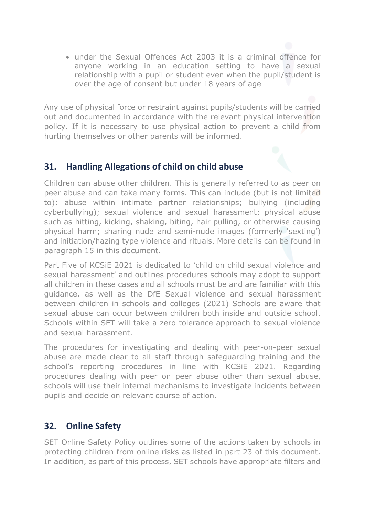• under the Sexual Offences Act 2003 it is a criminal offence for anyone working in an education setting to have a sexual relationship with a pupil or student even when the pupil/student is over the age of consent but under 18 years of age

Any use of physical force or restraint against pupils/students will be carried out and documented in accordance with the relevant physical intervention policy. If it is necessary to use physical action to prevent a child from hurting themselves or other parents will be informed.

#### **31. Handling Allegations of child on child abuse**

Children can abuse other children. This is generally referred to as peer on peer abuse and can take many forms. This can include (but is not limited to): abuse within intimate partner relationships; bullying (including cyberbullying); sexual violence and sexual harassment; physical abuse such as hitting, kicking, shaking, biting, hair pulling, or otherwise causing physical harm; sharing nude and semi-nude images (formerly 'sexting') and initiation/hazing type violence and rituals. More details can be found in paragraph 15 in this document.

Part Five of KCSiE 2021 is dedicated to 'child on child sexual violence and sexual harassment' and outlines procedures schools may adopt to support all children in these cases and all schools must be and are familiar with this guidance, as well as the DfE Sexual violence and sexual harassment between children in schools and colleges (2021) Schools are aware that sexual abuse can occur between children both inside and outside school. Schools within SET will take a zero tolerance approach to sexual violence and sexual harassment.

The procedures for investigating and dealing with peer-on-peer sexual abuse are made clear to all staff through safeguarding training and the school's reporting procedures in line with KCSiE 2021. Regarding procedures dealing with peer on peer abuse other than sexual abuse, schools will use their internal mechanisms to investigate incidents between pupils and decide on relevant course of action.

#### **32. Online Safety**

SET Online Safety Policy outlines some of the actions taken by schools in protecting children from online risks as listed in part 23 of this document. In addition, as part of this process, SET schools have appropriate filters and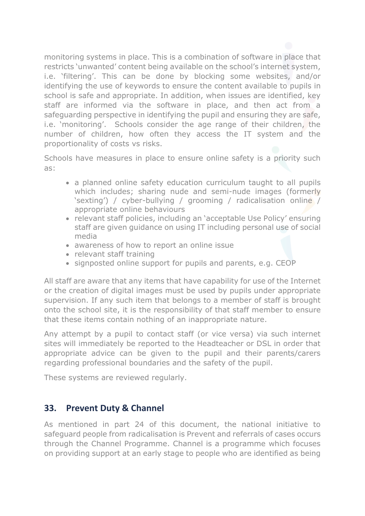monitoring systems in place. This is a combination of software in place that restricts 'unwanted' content being available on the school's internet system, i.e. 'filtering'. This can be done by blocking some websites, and/or identifying the use of keywords to ensure the content available to pupils in school is safe and appropriate. In addition, when issues are identified, key staff are informed via the software in place, and then act from a safeguarding perspective in identifying the pupil and ensuring they are safe, i.e. 'monitoring'. Schools consider the age range of their children, the number of children, how often they access the IT system and the proportionality of costs vs risks.

Schools have measures in place to ensure online safety is a priority such as:

- a planned online safety education curriculum taught to all pupils which includes; sharing nude and semi-nude images (formerly 'sexting') / cyber-bullying / grooming / radicalisation online / appropriate online behaviours
- relevant staff policies, including an 'acceptable Use Policy' ensuring staff are given guidance on using IT including personal use of social media
- awareness of how to report an online issue
- relevant staff training
- signposted online support for pupils and parents, e.g. CEOP

All staff are aware that any items that have capability for use of the Internet or the creation of digital images must be used by pupils under appropriate supervision. If any such item that belongs to a member of staff is brought onto the school site, it is the responsibility of that staff member to ensure that these items contain nothing of an inappropriate nature.

Any attempt by a pupil to contact staff (or vice versa) via such internet sites will immediately be reported to the Headteacher or DSL in order that appropriate advice can be given to the pupil and their parents/carers regarding professional boundaries and the safety of the pupil.

These systems are reviewed regularly.

#### **33. Prevent Duty & Channel**

As mentioned in part 24 of this document, the national initiative to safeguard people from radicalisation is Prevent and referrals of cases occurs through the Channel Programme. Channel is a programme which focuses on providing support at an early stage to people who are identified as being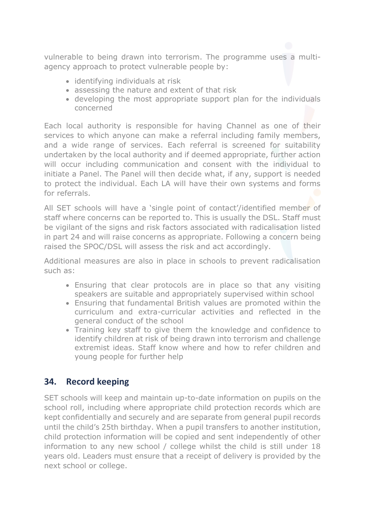vulnerable to being drawn into terrorism. The programme uses a multiagency approach to protect vulnerable people by:

- identifying individuals at risk
- assessing the nature and extent of that risk
- developing the most appropriate support plan for the individuals concerned

Each local authority is responsible for having Channel as one of their services to which anyone can make a referral including family members, and a wide range of services. Each referral is screened for suitability undertaken by the local authority and if deemed appropriate, further action will occur including communication and consent with the individual to initiate a Panel. The Panel will then decide what, if any, support is needed to protect the individual. Each LA will have their own systems and forms for referrals.

All SET schools will have a 'single point of contact'/identified member of staff where concerns can be reported to. This is usually the DSL. Staff must be vigilant of the signs and risk factors associated with radicalisation listed in part 24 and will raise concerns as appropriate. Following a concern being raised the SPOC/DSL will assess the risk and act accordingly.

Additional measures are also in place in schools to prevent radicalisation such as:

- Ensuring that clear protocols are in place so that any visiting speakers are suitable and appropriately supervised within school
- Ensuring that fundamental British values are promoted within the curriculum and extra-curricular activities and reflected in the general conduct of the school
- Training key staff to give them the knowledge and confidence to identify children at risk of being drawn into terrorism and challenge extremist ideas. Staff know where and how to refer children and young people for further help

#### **34. Record keeping**

SET schools will keep and maintain up-to-date information on pupils on the school roll, including where appropriate child protection records which are kept confidentially and securely and are separate from general pupil records until the child's 25th birthday. When a pupil transfers to another institution, child protection information will be copied and sent independently of other information to any new school / college whilst the child is still under 18 years old. Leaders must ensure that a receipt of delivery is provided by the next school or college.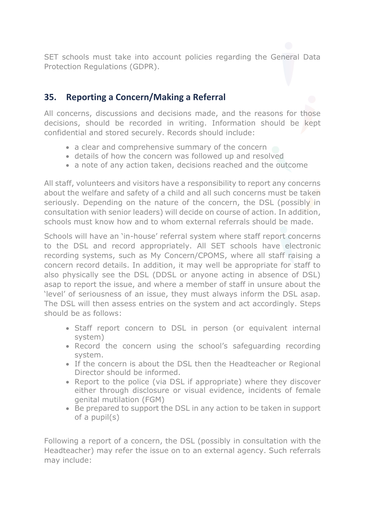SET schools must take into account policies regarding the General Data Protection Regulations (GDPR).

## **35. Reporting a Concern/Making a Referral**

All concerns, discussions and decisions made, and the reasons for those decisions, should be recorded in writing. Information should be kept confidential and stored securely. Records should include:

- a clear and comprehensive summary of the concern
- details of how the concern was followed up and resolved
- a note of any action taken, decisions reached and the outcome

All staff, volunteers and visitors have a responsibility to report any concerns about the welfare and safety of a child and all such concerns must be taken seriously. Depending on the nature of the concern, the DSL (possibly in consultation with senior leaders) will decide on course of action. In addition, schools must know how and to whom external referrals should be made.

Schools will have an 'in-house' referral system where staff report concerns to the DSL and record appropriately. All SET schools have electronic recording systems, such as My Concern/CPOMS, where all staff raising a concern record details. In addition, it may well be appropriate for staff to also physically see the DSL (DDSL or anyone acting in absence of DSL) asap to report the issue, and where a member of staff in unsure about the 'level' of seriousness of an issue, they must always inform the DSL asap. The DSL will then assess entries on the system and act accordingly. Steps should be as follows:

- Staff report concern to DSL in person (or equivalent internal system)
- Record the concern using the school's safeguarding recording system.
- If the concern is about the DSL then the Headteacher or Regional Director should be informed.
- Report to the police (via DSL if appropriate) where they discover either through disclosure or visual evidence, incidents of female genital mutilation (FGM)
- Be prepared to support the DSL in any action to be taken in support of a pupil(s)

Following a report of a concern, the DSL (possibly in consultation with the Headteacher) may refer the issue on to an external agency. Such referrals may include: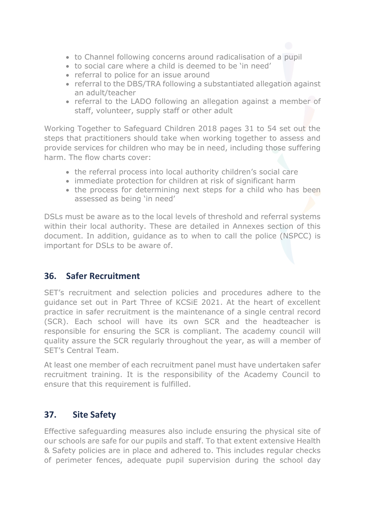- to Channel following concerns around radicalisation of a pupil
- to social care where a child is deemed to be 'in need'
- referral to police for an issue around
- referral to the DBS/TRA following a substantiated allegation against an adult/teacher
- referral to the LADO following an allegation against a member of staff, volunteer, supply staff or other adult

Working Together to Safeguard Children 2018 pages 31 to 54 set out the steps that practitioners should take when working together to assess and provide services for children who may be in need, including those suffering harm. The flow charts cover:

- the referral process into local authority children's social care
- immediate protection for children at risk of significant harm
- the process for determining next steps for a child who has been assessed as being 'in need'

DSLs must be aware as to the local levels of threshold and referral systems within their local authority. These are detailed in Annexes section of this document. In addition, guidance as to when to call the police (NSPCC) is important for DSLs to be aware of.

#### **36. Safer Recruitment**

SET's recruitment and selection policies and procedures adhere to the guidance set out in Part Three of KCSiE 2021. At the heart of excellent practice in safer recruitment is the maintenance of a single central record (SCR). Each school will have its own SCR and the headteacher is responsible for ensuring the SCR is compliant. The academy council will quality assure the SCR regularly throughout the year, as will a member of SET's Central Team.

At least one member of each recruitment panel must have undertaken safer recruitment training. It is the responsibility of the Academy Council to ensure that this requirement is fulfilled.

#### **37. Site Safety**

Effective safeguarding measures also include ensuring the physical site of our schools are safe for our pupils and staff. To that extent extensive Health & Safety policies are in place and adhered to. This includes regular checks of perimeter fences, adequate pupil supervision during the school day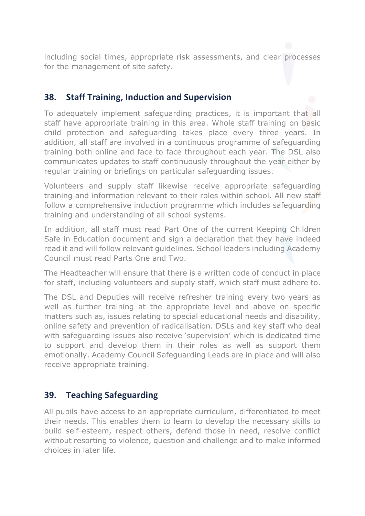including social times, appropriate risk assessments, and clear processes for the management of site safety.

## **38. Staff Training, Induction and Supervision**

To adequately implement safeguarding practices, it is important that all staff have appropriate training in this area. Whole staff training on basic child protection and safeguarding takes place every three years. In addition, all staff are involved in a continuous programme of safeguarding training both online and face to face throughout each year. The DSL also communicates updates to staff continuously throughout the year either by regular training or briefings on particular safeguarding issues.

Volunteers and supply staff likewise receive appropriate safeguarding training and information relevant to their roles within school. All new staff follow a comprehensive induction programme which includes safeguarding training and understanding of all school systems.

In addition, all staff must read Part One of the current Keeping Children Safe in Education document and sign a declaration that they have indeed read it and will follow relevant guidelines. School leaders including Academy Council must read Parts One and Two.

The Headteacher will ensure that there is a written code of conduct in place for staff, including volunteers and supply staff, which staff must adhere to.

The DSL and Deputies will receive refresher training every two years as well as further training at the appropriate level and above on specific matters such as, issues relating to special educational needs and disability, online safety and prevention of radicalisation. DSLs and key staff who deal with safeguarding issues also receive 'supervision' which is dedicated time to support and develop them in their roles as well as support them emotionally. Academy Council Safeguarding Leads are in place and will also receive appropriate training.

## **39. Teaching Safeguarding**

All pupils have access to an appropriate curriculum, differentiated to meet their needs. This enables them to learn to develop the necessary skills to build self-esteem, respect others, defend those in need, resolve conflict without resorting to violence, question and challenge and to make informed choices in later life.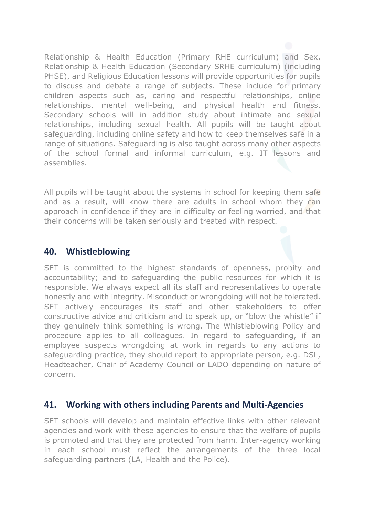Relationship & Health Education (Primary RHE curriculum) and Sex, Relationship & Health Education (Secondary SRHE curriculum) (including PHSE), and Religious Education lessons will provide opportunities for pupils to discuss and debate a range of subjects. These include for primary children aspects such as, caring and respectful relationships, online relationships, mental well-being, and physical health and fitness. Secondary schools will in addition study about intimate and sexual relationships, including sexual health. All pupils will be taught about safeguarding, including online safety and how to keep themselves safe in a range of situations. Safeguarding is also taught across many other aspects of the school formal and informal curriculum, e.g. IT lessons and assemblies.

All pupils will be taught about the systems in school for keeping them safe and as a result, will know there are adults in school whom they can approach in confidence if they are in difficulty or feeling worried, and that their concerns will be taken seriously and treated with respect.

#### **40. Whistleblowing**

SET is committed to the highest standards of openness, probity and accountability; and to safeguarding the public resources for which it is responsible. We always expect all its staff and representatives to operate honestly and with integrity. Misconduct or wrongdoing will not be tolerated. SET actively encourages its staff and other stakeholders to offer constructive advice and criticism and to speak up, or "blow the whistle" if they genuinely think something is wrong. The Whistleblowing Policy and procedure applies to all colleagues. In regard to safeguarding, if an employee suspects wrongdoing at work in regards to any actions to safeguarding practice, they should report to appropriate person, e.g. DSL, Headteacher, Chair of Academy Council or LADO depending on nature of concern.

#### **41. Working with others including Parents and Multi-Agencies**

SET schools will develop and maintain effective links with other relevant agencies and work with these agencies to ensure that the welfare of pupils is promoted and that they are protected from harm. Inter-agency working in each school must reflect the arrangements of the three local safeguarding partners (LA, Health and the Police).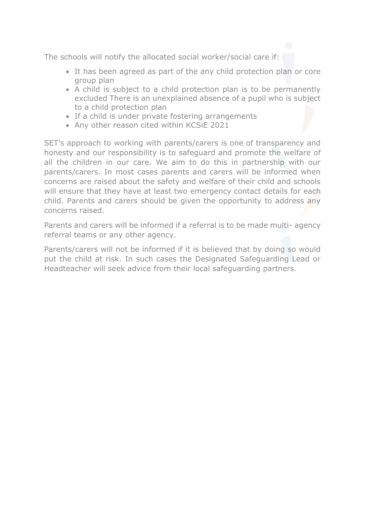The schools will notify the allocated social worker/social care if:

- It has been agreed as part of the any child protection plan or core group plan
- A child is subject to a child protection plan is to be permanently excluded There is an unexplained absence of a pupil who is subject to a child protection plan
- If a child is under private fostering arrangements
- Any other reason cited within KCSiE 2021

SET's approach to working with parents/carers is one of transparency and honesty and our responsibility is to safeguard and promote the welfare of all the children in our care. We aim to do this in partnership with our parents/carers. In most cases parents and carers will be informed when concerns are raised about the safety and welfare of their child and schools will ensure that they have at least two emergency contact details for each child. Parents and carers should be given the opportunity to address any concerns raised.

Parents and carers will be informed if a referral is to be made multi- agency referral teams or any other agency.

Parents/carers will not be informed if it is believed that by doing so would put the child at risk. In such cases the Designated Safeguarding Lead or Headteacher will seek advice from their local safeguarding partners.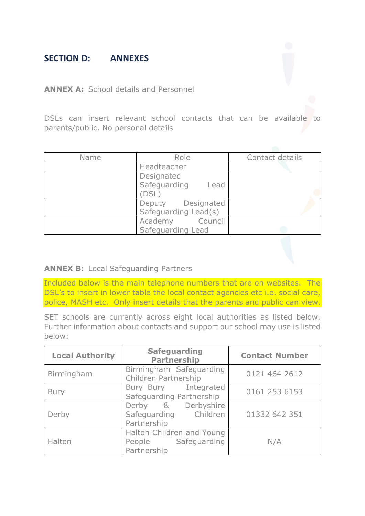#### **SECTION D: ANNEXES**

**ANNEX A:** School details and Personnel

DSLs can insert relevant school contacts that can be available to parents/public. No personal details

| Name | Role                                         | Contact details |
|------|----------------------------------------------|-----------------|
|      | Headteacher                                  |                 |
|      | Designated<br>Safeguarding<br>Lead<br>(DSL)  |                 |
|      | Designated<br>Deputy<br>Safeguarding Lead(s) |                 |
|      | Academy<br>Council<br>Safeguarding Lead      |                 |

#### **ANNEX B:** Local Safeguarding Partners

Included below is the main telephone numbers that are on websites. The DSL's to insert in lower table the local contact agencies etc i.e. social care, police, MASH etc. Only insert details that the parents and public can view.

SET schools are currently across eight local authorities as listed below. Further information about contacts and support our school may use is listed below:

| <b>Local Authority</b> | <b>Safeguarding</b><br><b>Partnership</b>                       | <b>Contact Number</b> |
|------------------------|-----------------------------------------------------------------|-----------------------|
| Birmingham             | Birmingham Safeguarding<br>Children Partnership                 | 0121 464 2612         |
| <b>Bury</b>            | Bury Bury Integrated<br>Safeguarding Partnership                | 0161 253 6153         |
| Derby                  | Derby & Derbyshire<br>Children<br>Safequarding<br>Partnership   | 01332 642 351         |
| Halton                 | Halton Children and Young<br>People Safeguarding<br>Partnership | N/A                   |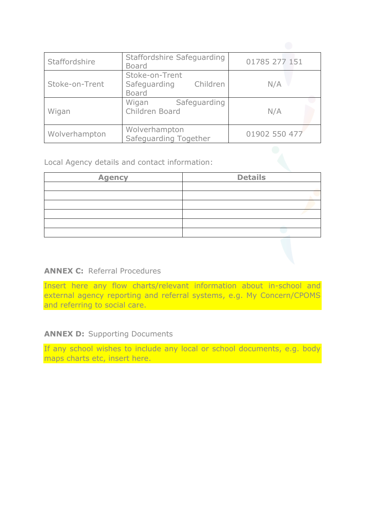| Staffordshire  | Staffordshire Safeguarding<br><b>Board</b>                 | 01785 277 151 |
|----------------|------------------------------------------------------------|---------------|
| Stoke-on-Trent | Stoke-on-Trent<br>Children<br>Safeguarding<br><b>Board</b> | N/A           |
| Wigan          | Safeguarding<br>Wigan<br>Children Board                    | N/A           |
| Wolverhampton  | Wolverhampton<br>Safeguarding Together                     | 01902 550 477 |

Local Agency details and contact information:

| <b>Agency</b> | <b>Details</b> |
|---------------|----------------|
|               |                |
|               |                |
|               |                |
|               |                |
|               |                |
|               |                |

#### **ANNEX C:** Referral Procedures

Insert here any flow charts/relevant information about in-school and external agency reporting and referral systems, e.g. My Concern/CPOMS and referring to social care.

#### **ANNEX D:** Supporting Documents

If any school wishes to include any local or school documents, e.g. body maps charts etc, insert here.